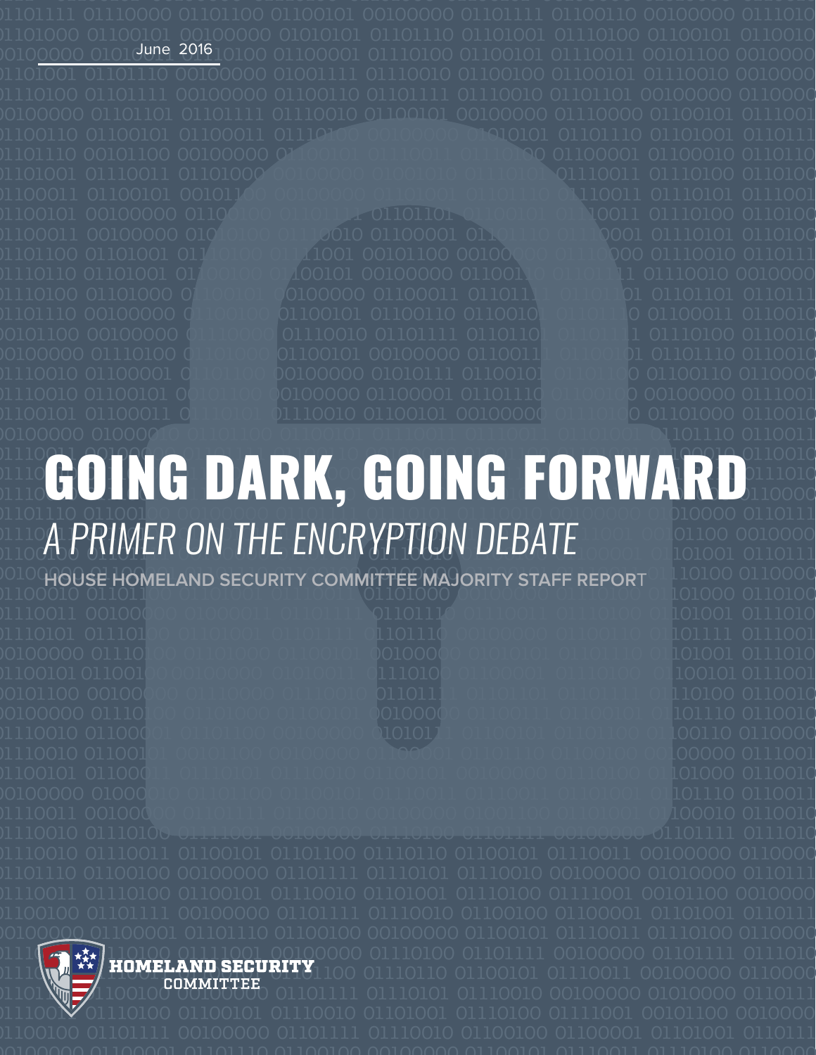

**CLOCHOUSE HOMELAND SECURITY COMMITTEE MAJORITY STAFF REPORT ALLOLOGILIZED** 



0111[<mark>. 新]10100 01111001 0010</mark>0000 01110100 01101111 00100000 01101111 0111010 01110**10111100101110110110110110**1100 01110110 01100101 01110011 00100000 0110000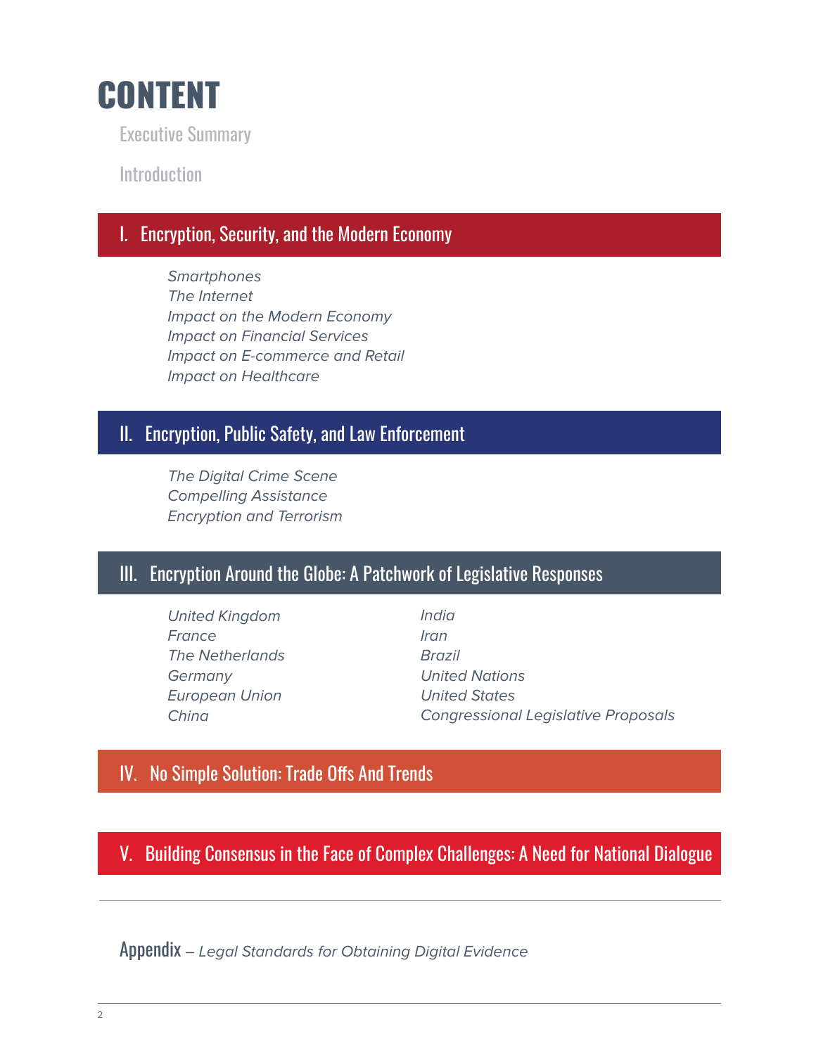

Executive Summary

**Introduction** 

# I. Encryption, Security, and the Modern Economy

*Smartphones The Internet Impact on the Modern Economy Impact on Financial Services Impact on E-commerce and Retail Impact on Healthcare*

# II. Encryption, Public Safety, and Law Enforcement

*The Digital Crime Scene Compelling Assistance Encryption and Terrorism*

# III. Encryption Around the Globe: A Patchwork of Legislative Responses

*United Kingdom France The Netherlands Germany European Union China*

*India Iran Brazil United Nations United States Congressional Legislative Proposals*

# IV. No Simple Solution: Trade Offs And Trends

V. Building Consensus in the Face of Complex Challenges: A Need for National Dialogue

Appendix *– Legal Standards for Obtaining Digital Evidence*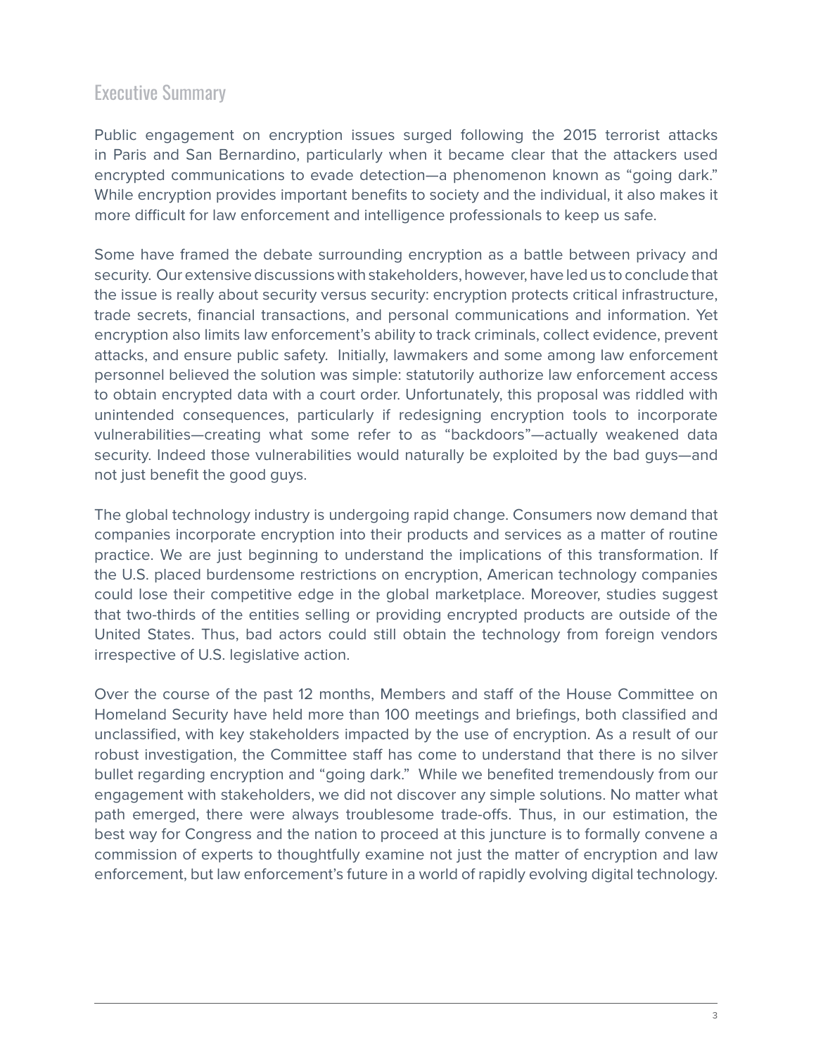# Executive Summary

Public engagement on encryption issues surged following the 2015 terrorist attacks in Paris and San Bernardino, particularly when it became clear that the attackers used encrypted communications to evade detection—a phenomenon known as "going dark." While encryption provides important benefits to society and the individual, it also makes it more difficult for law enforcement and intelligence professionals to keep us safe.

Some have framed the debate surrounding encryption as a battle between privacy and security. Our extensive discussions with stakeholders, however, have led us to conclude that the issue is really about security versus security: encryption protects critical infrastructure, trade secrets, financial transactions, and personal communications and information. Yet encryption also limits law enforcement's ability to track criminals, collect evidence, prevent attacks, and ensure public safety. Initially, lawmakers and some among law enforcement personnel believed the solution was simple: statutorily authorize law enforcement access to obtain encrypted data with a court order. Unfortunately, this proposal was riddled with unintended consequences, particularly if redesigning encryption tools to incorporate vulnerabilities—creating what some refer to as "backdoors"—actually weakened data security. Indeed those vulnerabilities would naturally be exploited by the bad guys—and not just benefit the good guys.

The global technology industry is undergoing rapid change. Consumers now demand that companies incorporate encryption into their products and services as a matter of routine practice. We are just beginning to understand the implications of this transformation. If the U.S. placed burdensome restrictions on encryption, American technology companies could lose their competitive edge in the global marketplace. Moreover, studies suggest that two-thirds of the entities selling or providing encrypted products are outside of the United States. Thus, bad actors could still obtain the technology from foreign vendors irrespective of U.S. legislative action.

Over the course of the past 12 months, Members and staff of the House Committee on Homeland Security have held more than 100 meetings and briefings, both classified and unclassified, with key stakeholders impacted by the use of encryption. As a result of our robust investigation, the Committee staff has come to understand that there is no silver bullet regarding encryption and "going dark." While we benefited tremendously from our engagement with stakeholders, we did not discover any simple solutions. No matter what path emerged, there were always troublesome trade-offs. Thus, in our estimation, the best way for Congress and the nation to proceed at this juncture is to formally convene a commission of experts to thoughtfully examine not just the matter of encryption and law enforcement, but law enforcement's future in a world of rapidly evolving digital technology.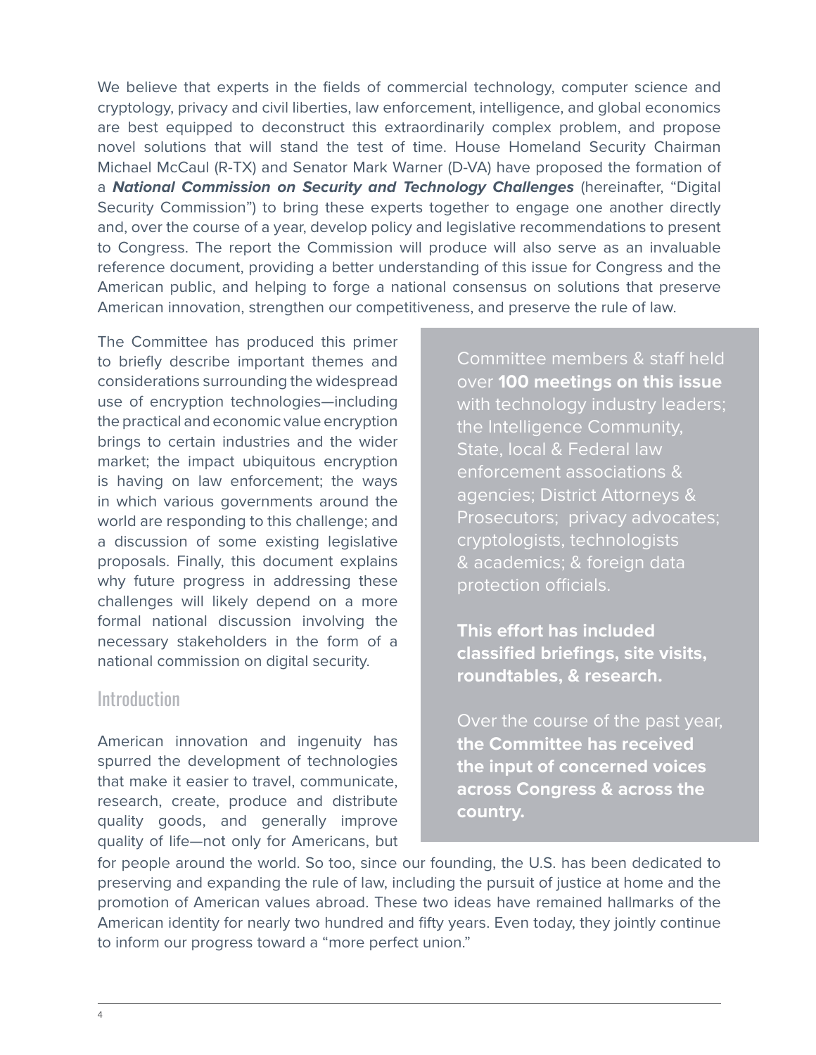We believe that experts in the fields of commercial technology, computer science and cryptology, privacy and civil liberties, law enforcement, intelligence, and global economics are best equipped to deconstruct this extraordinarily complex problem, and propose novel solutions that will stand the test of time. House Homeland Security Chairman Michael McCaul (R-TX) and Senator Mark Warner (D-VA) have proposed the formation of a *National Commission on Security and Technology Challenges* (hereinafter, "Digital Security Commission") to bring these experts together to engage one another directly and, over the course of a year, develop policy and legislative recommendations to present to Congress. The report the Commission will produce will also serve as an invaluable reference document, providing a better understanding of this issue for Congress and the American public, and helping to forge a national consensus on solutions that preserve American innovation, strengthen our competitiveness, and preserve the rule of law.

The Committee has produced this primer to briefly describe important themes and considerations surrounding the widespread use of encryption technologies—including the practical and economic value encryption brings to certain industries and the wider market; the impact ubiquitous encryption is having on law enforcement; the ways in which various governments around the world are responding to this challenge; and a discussion of some existing legislative proposals. Finally, this document explains why future progress in addressing these challenges will likely depend on a more formal national discussion involving the necessary stakeholders in the form of a national commission on digital security.

# **Introduction**

American innovation and ingenuity has spurred the development of technologies that make it easier to travel, communicate, research, create, produce and distribute quality goods, and generally improve quality of life—not only for Americans, but Committee members & staff held over **100 meetings on this issue** with technology industry leaders; the Intelligence Community, State, local & Federal law enforcement associations & agencies; District Attorneys & Prosecutors; privacy advocates; cryptologists, technologists & academics; & foreign data protection officials.

**This effort has included classified briefings, site visits, roundtables, & research.**

Over the course of the past year, **the Committee has received the input of concerned voices across Congress & across the country.** 

for people around the world. So too, since our founding, the U.S. has been dedicated to preserving and expanding the rule of law, including the pursuit of justice at home and the promotion of American values abroad. These two ideas have remained hallmarks of the American identity for nearly two hundred and fifty years. Even today, they jointly continue to inform our progress toward a "more perfect union."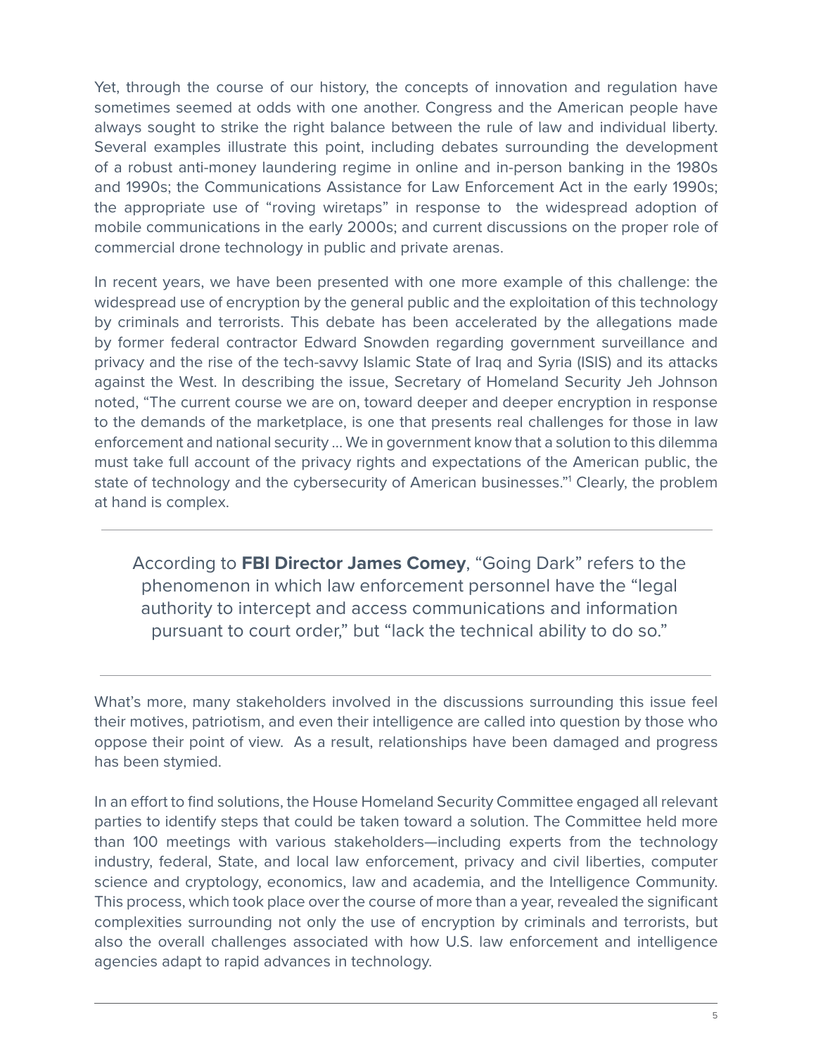Yet, through the course of our history, the concepts of innovation and regulation have sometimes seemed at odds with one another. Congress and the American people have always sought to strike the right balance between the rule of law and individual liberty. Several examples illustrate this point, including debates surrounding the development of a robust anti-money laundering regime in online and in-person banking in the 1980s and 1990s; the Communications Assistance for Law Enforcement Act in the early 1990s; the appropriate use of "roving wiretaps" in response to the widespread adoption of mobile communications in the early 2000s; and current discussions on the proper role of commercial drone technology in public and private arenas.

In recent years, we have been presented with one more example of this challenge: the widespread use of encryption by the general public and the exploitation of this technology by criminals and terrorists. This debate has been accelerated by the allegations made by former federal contractor Edward Snowden regarding government surveillance and privacy and the rise of the tech-savvy Islamic State of Iraq and Syria (ISIS) and its attacks against the West. In describing the issue, Secretary of Homeland Security Jeh Johnson noted, "The current course we are on, toward deeper and deeper encryption in response to the demands of the marketplace, is one that presents real challenges for those in law enforcement and national security … We in government know that a solution to this dilemma must take full account of the privacy rights and expectations of the American public, the state of technology and the cybersecurity of American businesses."<sup>1</sup> Clearly, the problem at hand is complex.

According to **FBI Director James Comey**, "Going Dark" refers to the phenomenon in which law enforcement personnel have the "legal authority to intercept and access communications and information pursuant to court order," but "lack the technical ability to do so."

What's more, many stakeholders involved in the discussions surrounding this issue feel their motives, patriotism, and even their intelligence are called into question by those who oppose their point of view. As a result, relationships have been damaged and progress has been stymied.

In an effort to find solutions, the House Homeland Security Committee engaged all relevant parties to identify steps that could be taken toward a solution. The Committee held more than 100 meetings with various stakeholders—including experts from the technology industry, federal, State, and local law enforcement, privacy and civil liberties, computer science and cryptology, economics, law and academia, and the Intelligence Community. This process, which took place over the course of more than a year, revealed the significant complexities surrounding not only the use of encryption by criminals and terrorists, but also the overall challenges associated with how U.S. law enforcement and intelligence agencies adapt to rapid advances in technology.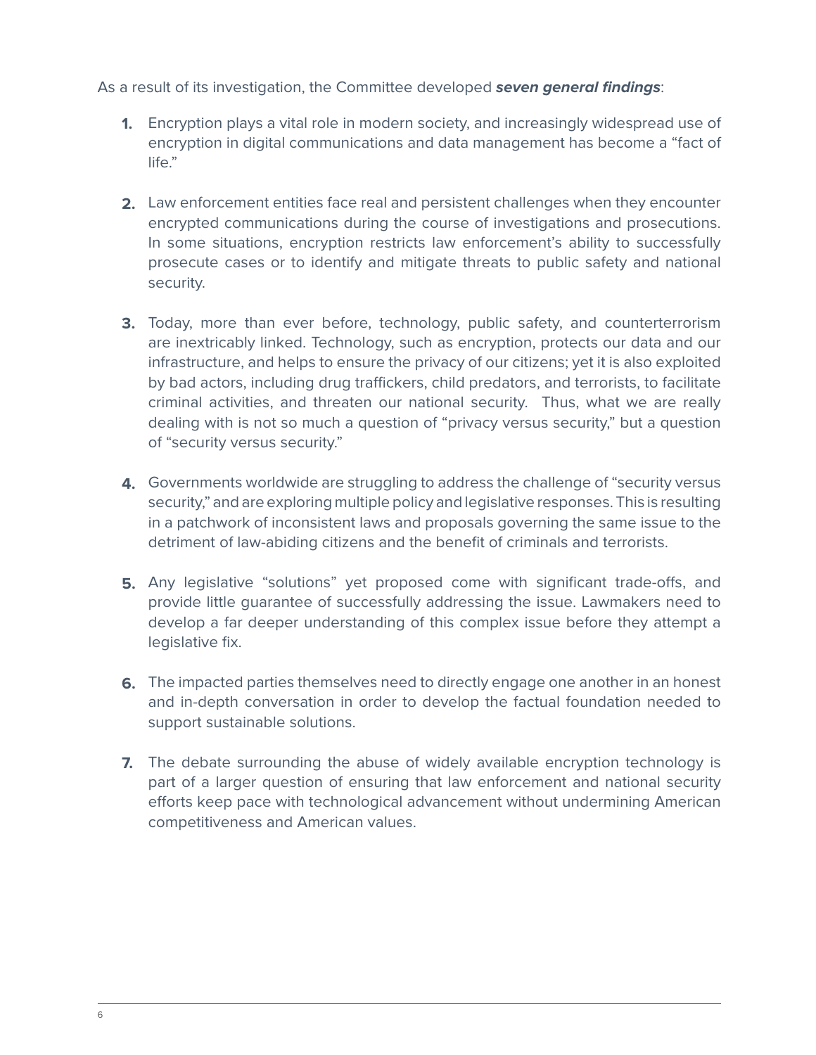#### As a result of its investigation, the Committee developed *seven general findings*:

- **1.**  Encryption plays a vital role in modern society, and increasingly widespread use of encryption in digital communications and data management has become a "fact of life."
- **2.**  Law enforcement entities face real and persistent challenges when they encounter encrypted communications during the course of investigations and prosecutions. In some situations, encryption restricts law enforcement's ability to successfully prosecute cases or to identify and mitigate threats to public safety and national security.
- **3.**  Today, more than ever before, technology, public safety, and counterterrorism are inextricably linked. Technology, such as encryption, protects our data and our infrastructure, and helps to ensure the privacy of our citizens; yet it is also exploited by bad actors, including drug traffickers, child predators, and terrorists, to facilitate criminal activities, and threaten our national security. Thus, what we are really dealing with is not so much a question of "privacy versus security," but a question of "security versus security."
- **4.**  Governments worldwide are struggling to address the challenge of "security versus security," and are exploring multiple policy and legislative responses. This is resulting in a patchwork of inconsistent laws and proposals governing the same issue to the detriment of law-abiding citizens and the benefit of criminals and terrorists.
- **5.**  Any legislative "solutions" yet proposed come with significant trade-offs, and provide little guarantee of successfully addressing the issue. Lawmakers need to develop a far deeper understanding of this complex issue before they attempt a legislative fix.
- **6.**  The impacted parties themselves need to directly engage one another in an honest and in-depth conversation in order to develop the factual foundation needed to support sustainable solutions.
- **7.**  The debate surrounding the abuse of widely available encryption technology is part of a larger question of ensuring that law enforcement and national security efforts keep pace with technological advancement without undermining American competitiveness and American values.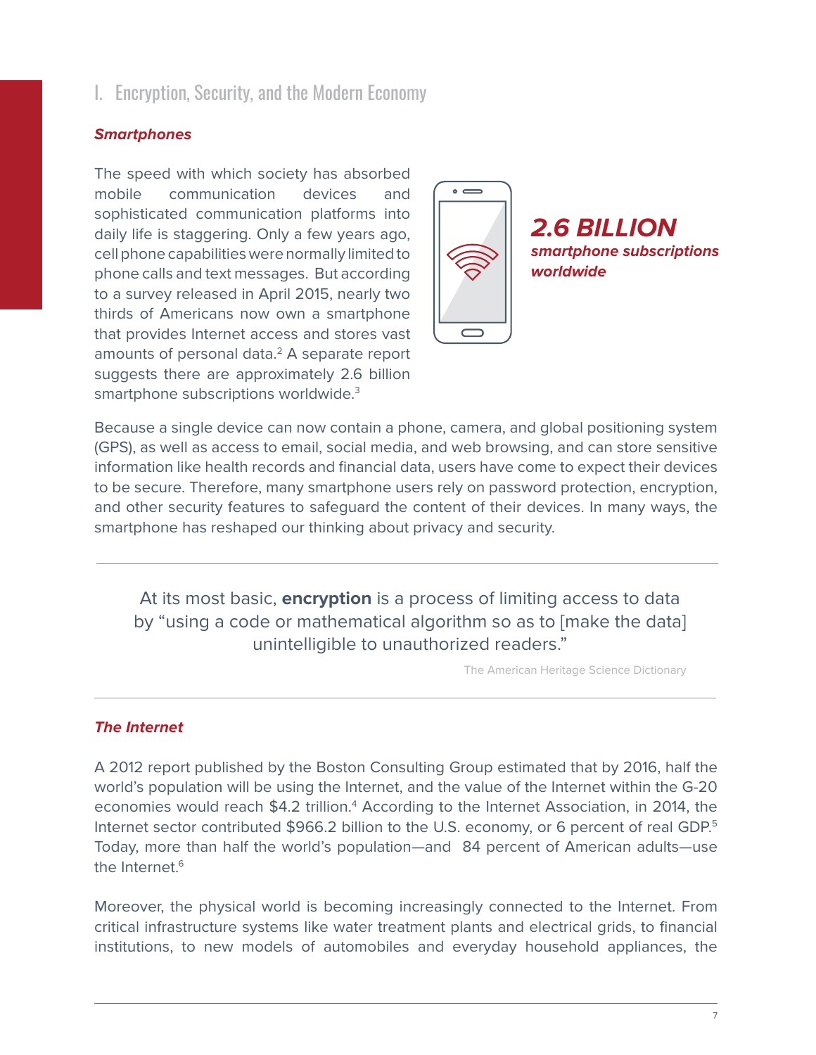# I. Encryption, Security, and the Modern Economy

#### *Smartphones*

The speed with which society has absorbed mobile communication devices and sophisticated communication platforms into daily life is staggering. Only a few years ago, cell phone capabilities were normally limited to phone calls and text messages. But according to a survey released in April 2015, nearly two thirds of Americans now own a smartphone that provides Internet access and stores vast amounts of personal data.<sup>2</sup> A separate report suggests there are approximately 2.6 billion smartphone subscriptions worldwide.<sup>3</sup>



Because a single device can now contain a phone, camera, and global positioning system (GPS), as well as access to email, social media, and web browsing, and can store sensitive information like health records and financial data, users have come to expect their devices to be secure. Therefore, many smartphone users rely on password protection, encryption, and other security features to safeguard the content of their devices. In many ways, the smartphone has reshaped our thinking about privacy and security.

At its most basic, **encryption** is a process of limiting access to data by "using a code or mathematical algorithm so as to [make the data] unintelligible to unauthorized readers."

The American Heritage Science Dictionary

#### *The Internet*

A 2012 report published by the Boston Consulting Group estimated that by 2016, half the world's population will be using the Internet, and the value of the Internet within the G-20 economies would reach \$4.2 trillion.<sup>4</sup> According to the Internet Association, in 2014, the Internet sector contributed \$966.2 billion to the U.S. economy, or 6 percent of real GDP.<sup>5</sup> Today, more than half the world's population—and 84 percent of American adults—use the Internet.<sup>6</sup>

Moreover, the physical world is becoming increasingly connected to the Internet. From critical infrastructure systems like water treatment plants and electrical grids, to financial institutions, to new models of automobiles and everyday household appliances, the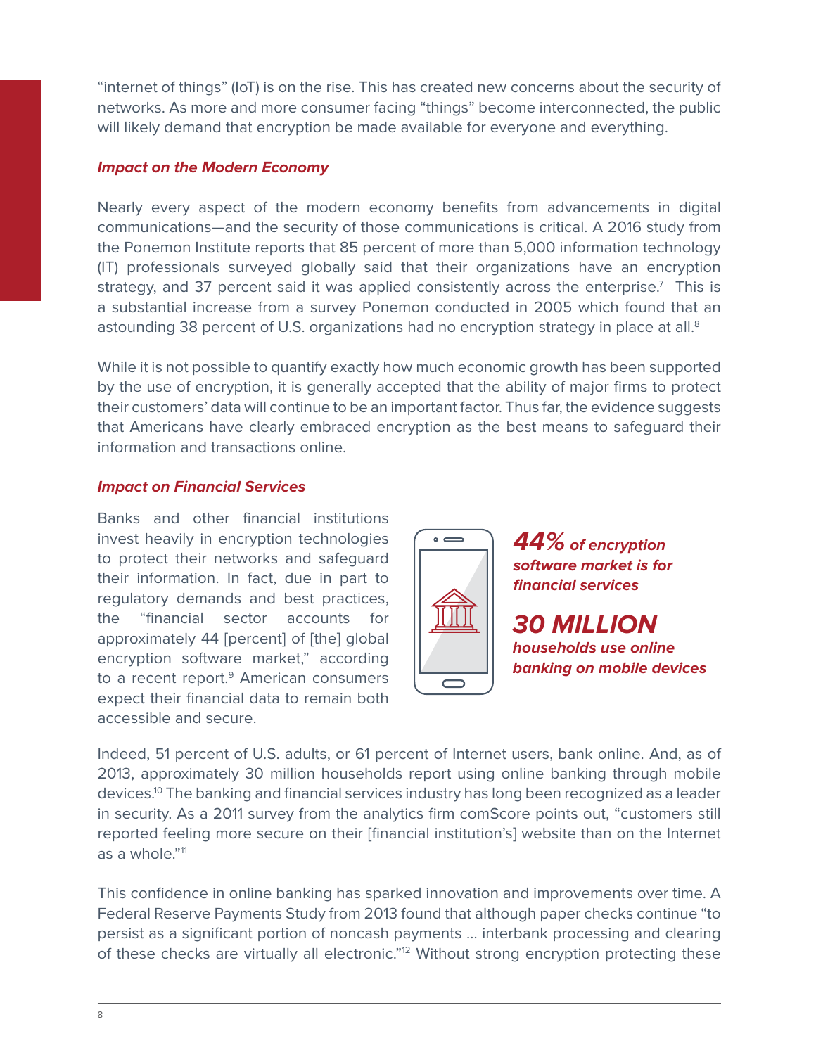"internet of things" (IoT) is on the rise. This has created new concerns about the security of networks. As more and more consumer facing "things" become interconnected, the public will likely demand that encryption be made available for everyone and everything.

#### *Impact on the Modern Economy*

Nearly every aspect of the modern economy benefits from advancements in digital communications—and the security of those communications is critical. A 2016 study from the Ponemon Institute reports that 85 percent of more than 5,000 information technology (IT) professionals surveyed globally said that their organizations have an encryption strategy, and 37 percent said it was applied consistently across the enterprise.<sup>7</sup> This is a substantial increase from a survey Ponemon conducted in 2005 which found that an astounding 38 percent of U.S. organizations had no encryption strategy in place at all. $8$ 

While it is not possible to quantify exactly how much economic growth has been supported by the use of encryption, it is generally accepted that the ability of major firms to protect their customers' data will continue to be an important factor. Thus far, the evidence suggests that Americans have clearly embraced encryption as the best means to safeguard their information and transactions online.

#### *Impact on Financial Services*

Banks and other financial institutions invest heavily in encryption technologies to protect their networks and safeguard their information. In fact, due in part to regulatory demands and best practices, the "financial sector accounts for approximately 44 [percent] of [the] global encryption software market," according to a recent report.<sup>9</sup> American consumers expect their financial data to remain both accessible and secure.



*44% of encryption software market is for financial services*

*30 MILLION households use online banking on mobile devices*

Indeed, 51 percent of U.S. adults, or 61 percent of Internet users, bank online. And, as of 2013, approximately 30 million households report using online banking through mobile devices.10 The banking and financial services industry has long been recognized as a leader in security. As a 2011 survey from the analytics firm comScore points out, "customers still reported feeling more secure on their [financial institution's] website than on the Internet as a whole."<sup>11</sup>

This confidence in online banking has sparked innovation and improvements over time. A Federal Reserve Payments Study from 2013 found that although paper checks continue "to persist as a significant portion of noncash payments … interbank processing and clearing of these checks are virtually all electronic."<sup>12</sup> Without strong encryption protecting these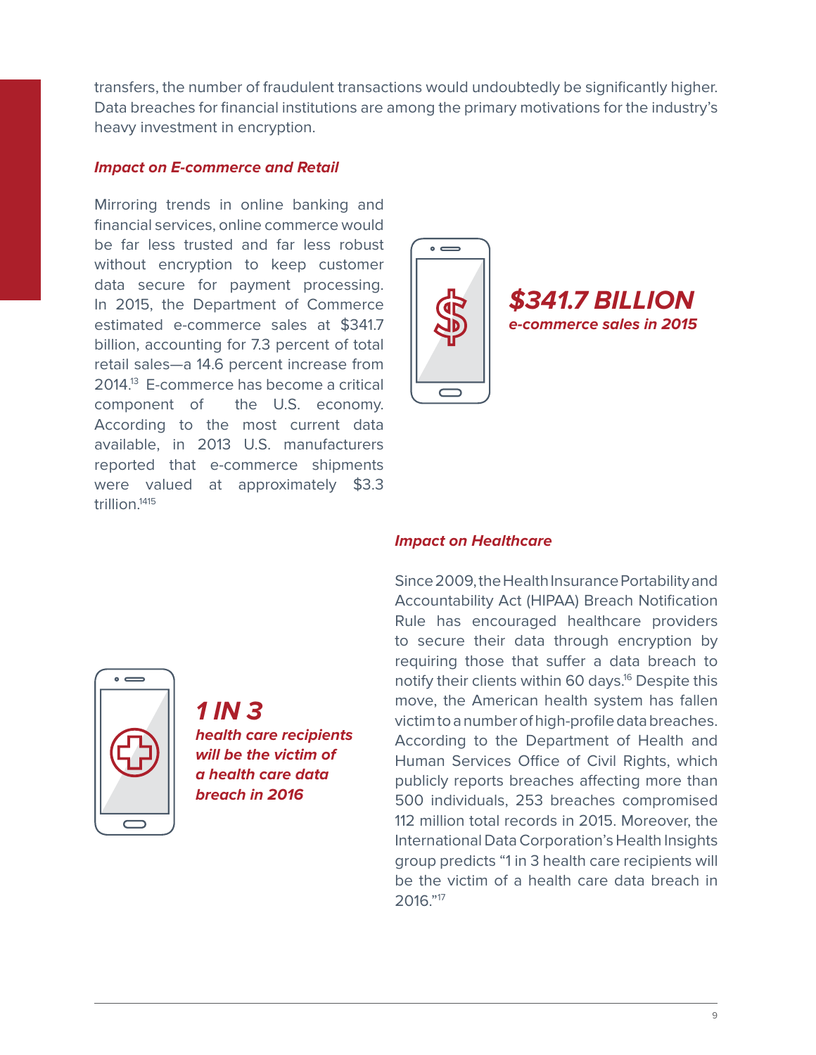transfers, the number of fraudulent transactions would undoubtedly be significantly higher. Data breaches for financial institutions are among the primary motivations for the industry's heavy investment in encryption.

#### *Impact on E-commerce and Retail*

Mirroring trends in online banking and financial services, online commerce would be far less trusted and far less robust without encryption to keep customer data secure for payment processing. In 2015, the Department of Commerce estimated e-commerce sales at \$341.7 billion, accounting for 7.3 percent of total retail sales—a 14.6 percent increase from 2014.13 E-commerce has become a critical component of the U.S. economy. According to the most current data available, in 2013 U.S. manufacturers reported that e-commerce shipments were valued at approximately \$3.3 trillion $1415$ 



# $\overline{\phantom{0}}$

*1 IN 3 health care recipients will be the victim of a health care data breach in 2016*

#### *Impact on Healthcare*

Since 2009, the Health Insurance Portability and Accountability Act (HIPAA) Breach Notification Rule has encouraged healthcare providers to secure their data through encryption by requiring those that suffer a data breach to notify their clients within 60 days.<sup>16</sup> Despite this move, the American health system has fallen victim to a number of high-profile data breaches. According to the Department of Health and Human Services Office of Civil Rights, which publicly reports breaches affecting more than 500 individuals, 253 breaches compromised 112 million total records in 2015. Moreover, the International Data Corporation's Health Insights group predicts "1 in 3 health care recipients will be the victim of a health care data breach in 2016."17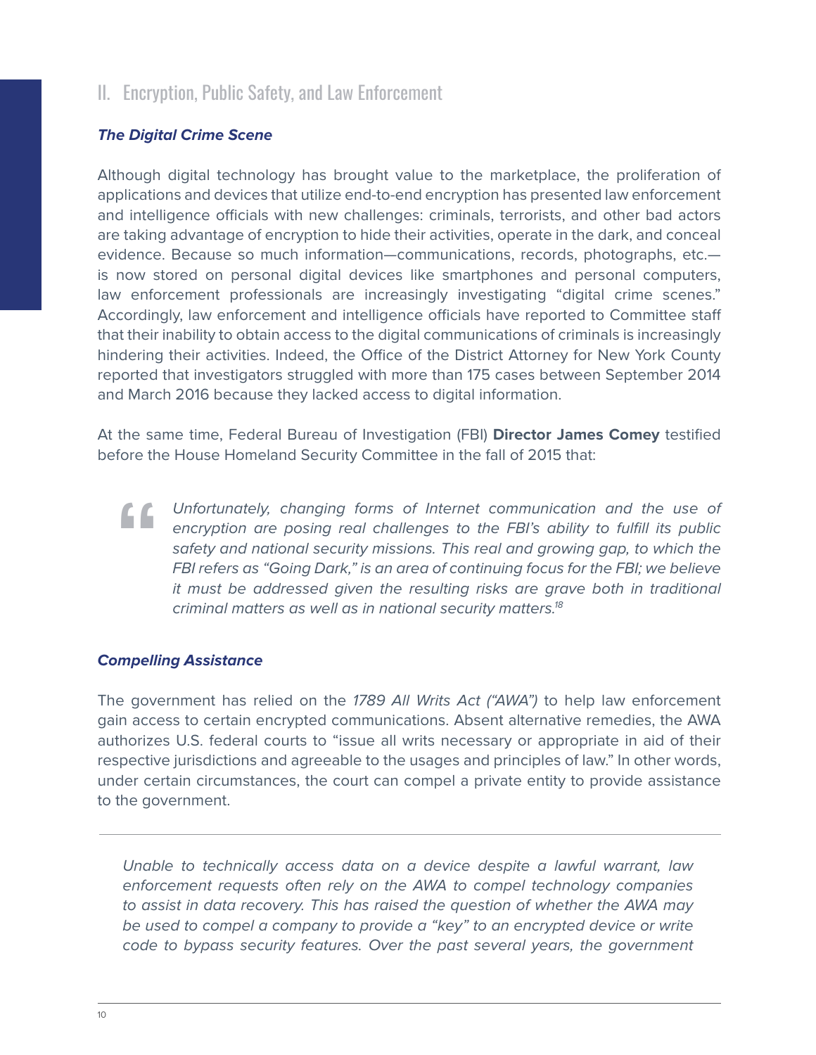# II. Encryption, Public Safety, and Law Enforcement

#### *The Digital Crime Scene*

Although digital technology has brought value to the marketplace, the proliferation of applications and devices that utilize end-to-end encryption has presented law enforcement and intelligence officials with new challenges: criminals, terrorists, and other bad actors are taking advantage of encryption to hide their activities, operate in the dark, and conceal evidence. Because so much information—communications, records, photographs, etc. is now stored on personal digital devices like smartphones and personal computers, law enforcement professionals are increasingly investigating "digital crime scenes." Accordingly, law enforcement and intelligence officials have reported to Committee staff that their inability to obtain access to the digital communications of criminals is increasingly hindering their activities. Indeed, the Office of the District Attorney for New York County reported that investigators struggled with more than 175 cases between September 2014 and March 2016 because they lacked access to digital information.

At the same time, Federal Bureau of Investigation (FBI) **Director James Comey** testified before the House Homeland Security Committee in the fall of 2015 that:

**"** *Unfortunately, changing forms of Internet communication and the use of encryption are posing real challenges to the FBI's ability to fulfill its public safety and national security missions. This real and growing gap, to which the FBI refers as "Going Dark," is an area of continuing focus for the FBI; we believe it must be addressed given the resulting risks are grave both in traditional criminal matters as well as in national security matters.18*

#### *Compelling Assistance*

The government has relied on the *1789 All Writs Act ("AWA")* to help law enforcement gain access to certain encrypted communications. Absent alternative remedies, the AWA authorizes U.S. federal courts to "issue all writs necessary or appropriate in aid of their respective jurisdictions and agreeable to the usages and principles of law." In other words, under certain circumstances, the court can compel a private entity to provide assistance to the government.

*Unable to technically access data on a device despite a lawful warrant, law enforcement requests often rely on the AWA to compel technology companies to assist in data recovery. This has raised the question of whether the AWA may be used to compel a company to provide a "key" to an encrypted device or write code to bypass security features. Over the past several years, the government*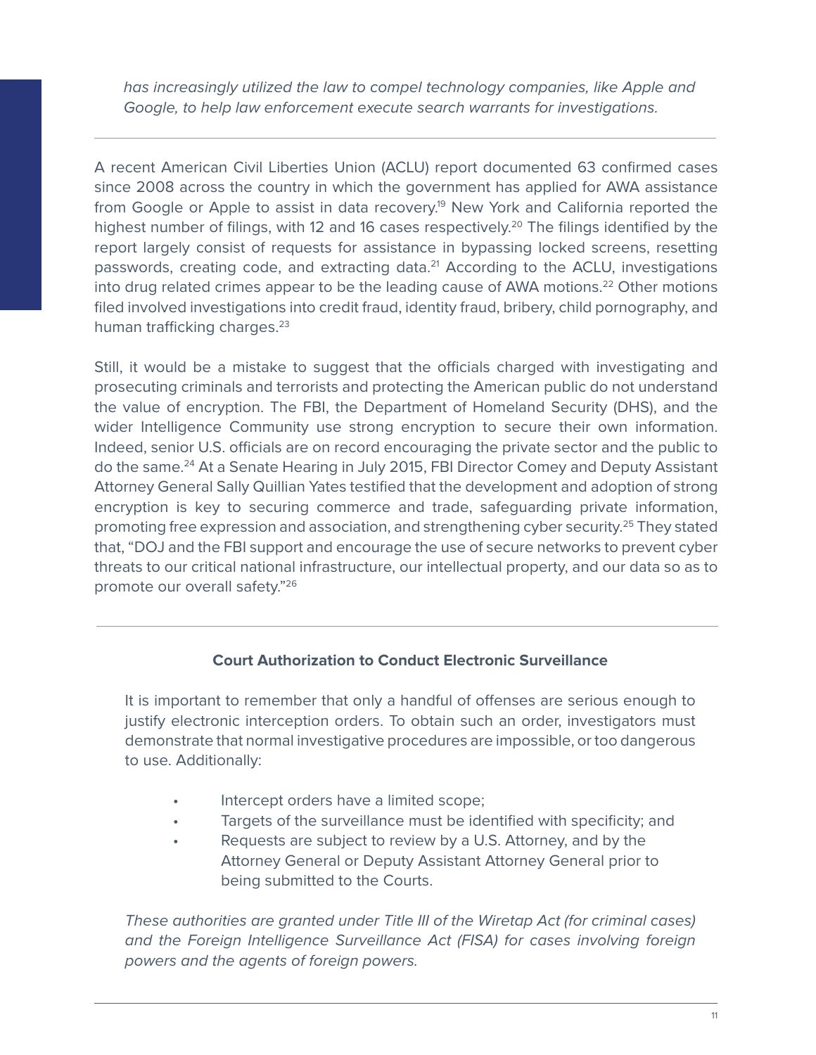has increasingly utilized the law to compel technology companies, like Apple and *Google, to help law enforcement execute search warrants for investigations.*

A recent American Civil Liberties Union (ACLU) report documented 63 confirmed cases since 2008 across the country in which the government has applied for AWA assistance from Google or Apple to assist in data recovery.<sup>19</sup> New York and California reported the highest number of filings, with 12 and 16 cases respectively.<sup>20</sup> The filings identified by the report largely consist of requests for assistance in bypassing locked screens, resetting passwords, creating code, and extracting data.<sup>21</sup> According to the ACLU, investigations into drug related crimes appear to be the leading cause of AWA motions.<sup>22</sup> Other motions filed involved investigations into credit fraud, identity fraud, bribery, child pornography, and human trafficking charges.<sup>23</sup>

Still, it would be a mistake to suggest that the officials charged with investigating and prosecuting criminals and terrorists and protecting the American public do not understand the value of encryption. The FBI, the Department of Homeland Security (DHS), and the wider Intelligence Community use strong encryption to secure their own information. Indeed, senior U.S. officials are on record encouraging the private sector and the public to do the same.<sup>24</sup> At a Senate Hearing in July 2015, FBI Director Comey and Deputy Assistant Attorney General Sally Quillian Yates testified that the development and adoption of strong encryption is key to securing commerce and trade, safeguarding private information, promoting free expression and association, and strengthening cyber security.25 They stated that, "DOJ and the FBI support and encourage the use of secure networks to prevent cyber threats to our critical national infrastructure, our intellectual property, and our data so as to promote our overall safety."26

#### **Court Authorization to Conduct Electronic Surveillance**

It is important to remember that only a handful of offenses are serious enough to justify electronic interception orders. To obtain such an order, investigators must demonstrate that normal investigative procedures are impossible, or too dangerous to use. Additionally:

- Intercept orders have a limited scope;
- Targets of the surveillance must be identified with specificity; and
- Requests are subject to review by a U.S. Attorney, and by the Attorney General or Deputy Assistant Attorney General prior to being submitted to the Courts.

*These authorities are granted under Title III of the Wiretap Act (for criminal cases) and the Foreign Intelligence Surveillance Act (FISA) for cases involving foreign powers and the agents of foreign powers.*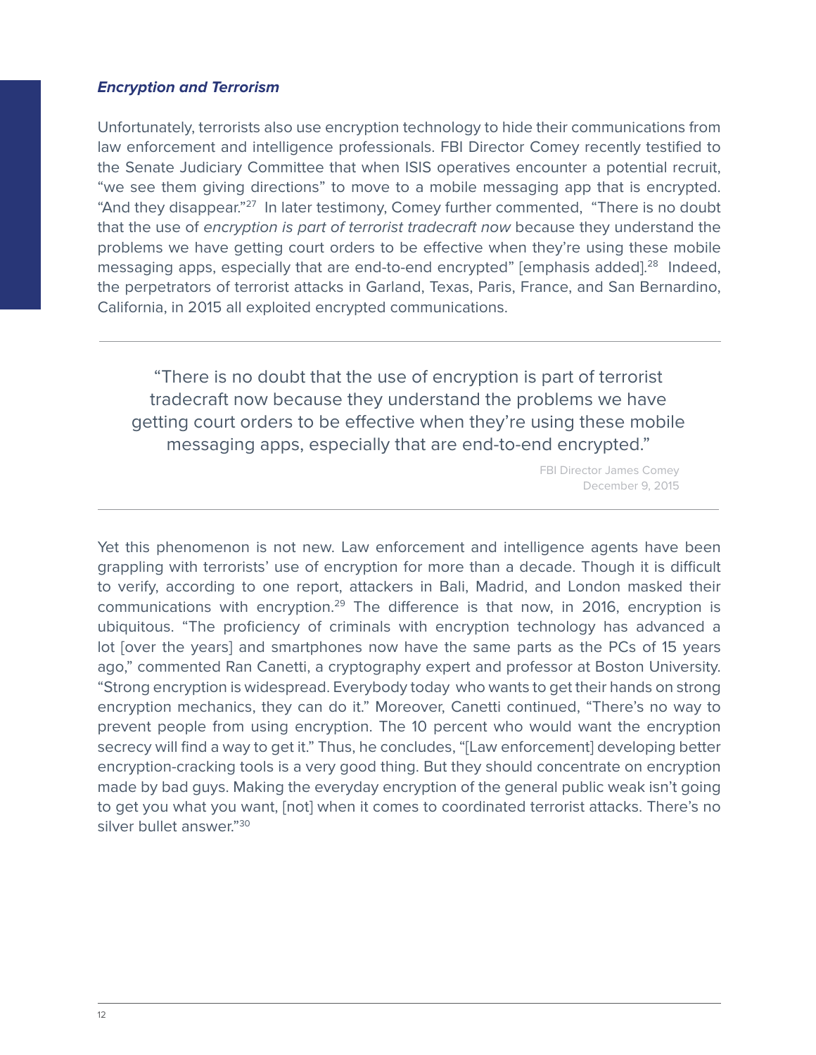#### *Encryption and Terrorism*

Unfortunately, terrorists also use encryption technology to hide their communications from law enforcement and intelligence professionals. FBI Director Comey recently testified to the Senate Judiciary Committee that when ISIS operatives encounter a potential recruit, "we see them giving directions" to move to a mobile messaging app that is encrypted. "And they disappear."27 In later testimony, Comey further commented, "There is no doubt that the use of *encryption is part of terrorist tradecraft now* because they understand the problems we have getting court orders to be effective when they're using these mobile messaging apps, especially that are end-to-end encrypted" [emphasis added].<sup>28</sup> Indeed, the perpetrators of terrorist attacks in Garland, Texas, Paris, France, and San Bernardino, California, in 2015 all exploited encrypted communications.

"There is no doubt that the use of encryption is part of terrorist tradecraft now because they understand the problems we have getting court orders to be effective when they're using these mobile messaging apps, especially that are end-to-end encrypted."

> FBI Director James Comey December 9, 2015

Yet this phenomenon is not new. Law enforcement and intelligence agents have been grappling with terrorists' use of encryption for more than a decade. Though it is difficult to verify, according to one report, attackers in Bali, Madrid, and London masked their communications with encryption.<sup>29</sup> The difference is that now, in 2016, encryption is ubiquitous. "The proficiency of criminals with encryption technology has advanced a lot [over the years] and smartphones now have the same parts as the PCs of 15 years ago," commented Ran Canetti, a cryptography expert and professor at Boston University. "Strong encryption is widespread. Everybody today who wants to get their hands on strong encryption mechanics, they can do it." Moreover, Canetti continued, "There's no way to prevent people from using encryption. The 10 percent who would want the encryption secrecy will find a way to get it." Thus, he concludes, "[Law enforcement] developing better encryption-cracking tools is a very good thing. But they should concentrate on encryption made by bad guys. Making the everyday encryption of the general public weak isn't going to get you what you want, [not] when it comes to coordinated terrorist attacks. There's no silver bullet answer."30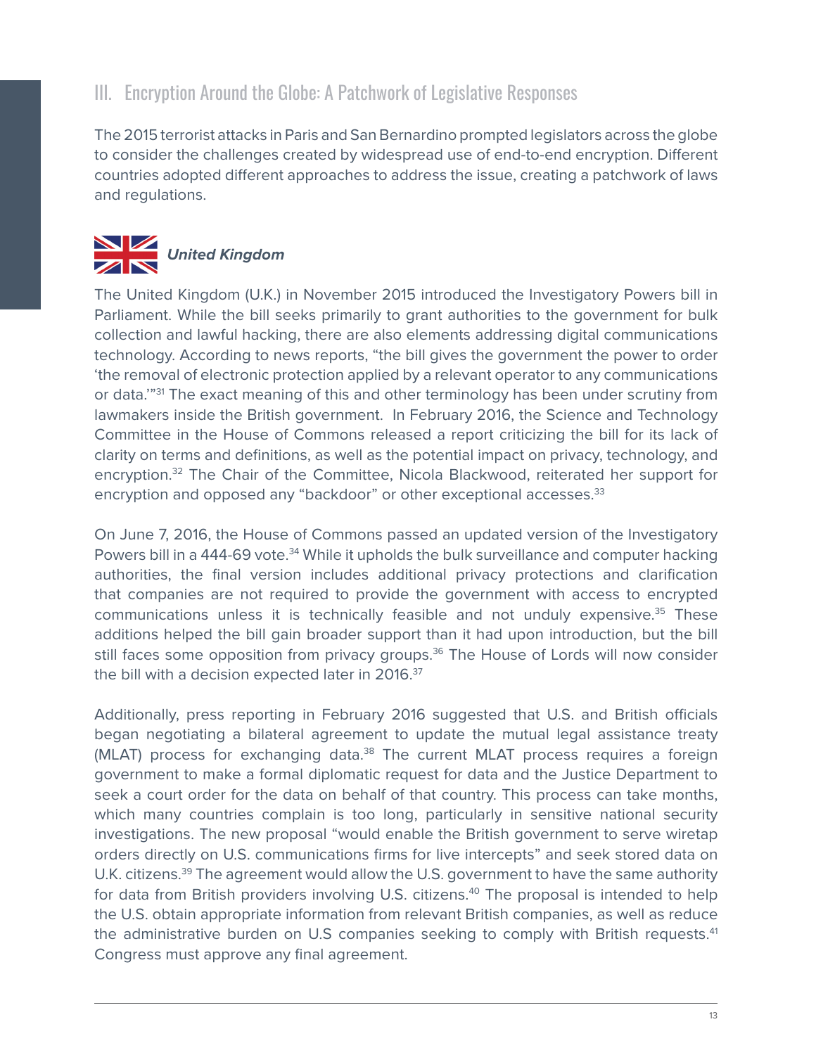# III. Encryption Around the Globe: A Patchwork of Legislative Responses

The 2015 terrorist attacks in Paris and San Bernardino prompted legislators across the globe to consider the challenges created by widespread use of end-to-end encryption. Different countries adopted different approaches to address the issue, creating a patchwork of laws and regulations.



The United Kingdom (U.K.) in November 2015 introduced the Investigatory Powers bill in Parliament. While the bill seeks primarily to grant authorities to the government for bulk collection and lawful hacking, there are also elements addressing digital communications technology. According to news reports, "the bill gives the government the power to order 'the removal of electronic protection applied by a relevant operator to any communications or data."<sup>31</sup> The exact meaning of this and other terminology has been under scrutiny from lawmakers inside the British government. In February 2016, the Science and Technology Committee in the House of Commons released a report criticizing the bill for its lack of clarity on terms and definitions, as well as the potential impact on privacy, technology, and encryption.32 The Chair of the Committee, Nicola Blackwood, reiterated her support for encryption and opposed any "backdoor" or other exceptional accesses.<sup>33</sup>

On June 7, 2016, the House of Commons passed an updated version of the Investigatory Powers bill in a 444-69 vote.<sup>34</sup> While it upholds the bulk surveillance and computer hacking authorities, the final version includes additional privacy protections and clarification that companies are not required to provide the government with access to encrypted communications unless it is technically feasible and not unduly expensive.35 These additions helped the bill gain broader support than it had upon introduction, but the bill still faces some opposition from privacy groups.<sup>36</sup> The House of Lords will now consider the bill with a decision expected later in 2016.<sup>37</sup>

Additionally, press reporting in February 2016 suggested that U.S. and British officials began negotiating a bilateral agreement to update the mutual legal assistance treaty (MLAT) process for exchanging data.<sup>38</sup> The current MLAT process requires a foreign government to make a formal diplomatic request for data and the Justice Department to seek a court order for the data on behalf of that country. This process can take months, which many countries complain is too long, particularly in sensitive national security investigations. The new proposal "would enable the British government to serve wiretap orders directly on U.S. communications firms for live intercepts" and seek stored data on U.K. citizens.<sup>39</sup> The agreement would allow the U.S. government to have the same authority for data from British providers involving U.S. citizens.<sup>40</sup> The proposal is intended to help the U.S. obtain appropriate information from relevant British companies, as well as reduce the administrative burden on U.S companies seeking to comply with British requests.<sup>41</sup> Congress must approve any final agreement.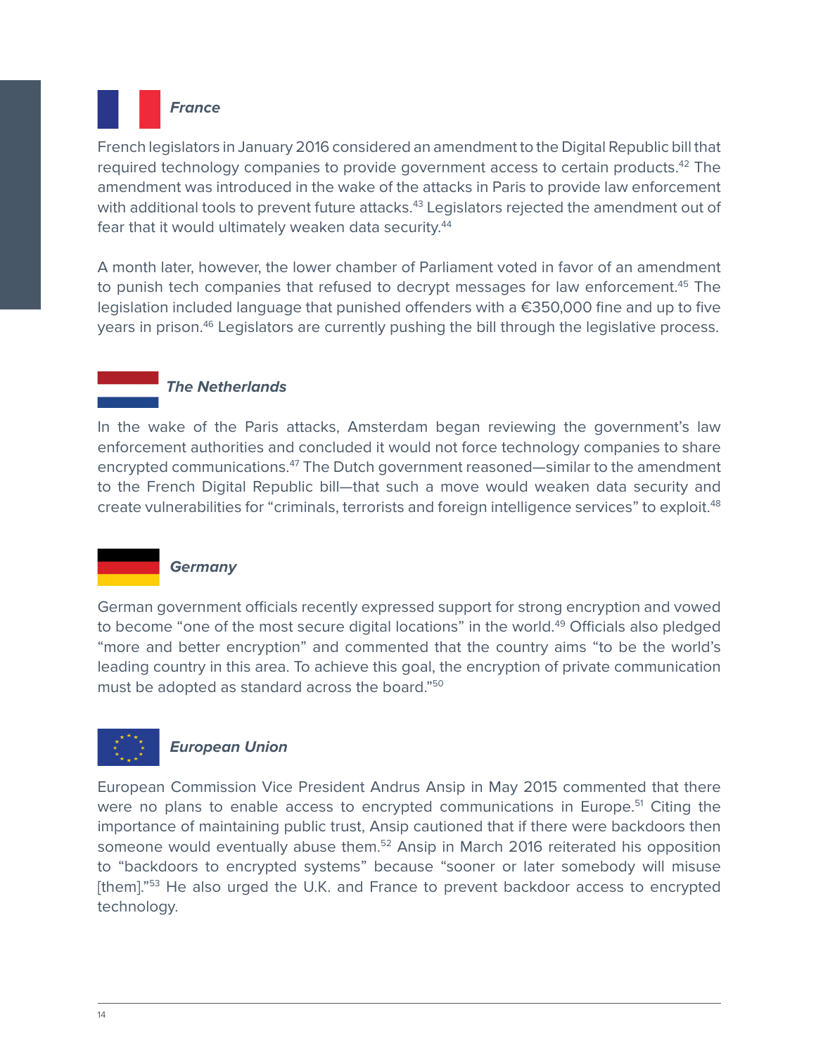

French legislators in January 2016 considered an amendment to the Digital Republic bill that required technology companies to provide government access to certain products.<sup>42</sup> The amendment was introduced in the wake of the attacks in Paris to provide law enforcement with additional tools to prevent future attacks.<sup>43</sup> Legislators rejected the amendment out of fear that it would ultimately weaken data security.<sup>44</sup>

A month later, however, the lower chamber of Parliament voted in favor of an amendment to punish tech companies that refused to decrypt messages for law enforcement.<sup>45</sup> The legislation included language that punished offenders with a €350,000 fine and up to five years in prison.<sup>46</sup> Legislators are currently pushing the bill through the legislative process.

## *The Netherlands*

In the wake of the Paris attacks, Amsterdam began reviewing the government's law enforcement authorities and concluded it would not force technology companies to share encrypted communications.<sup>47</sup> The Dutch government reasoned—similar to the amendment to the French Digital Republic bill—that such a move would weaken data security and create vulnerabilities for "criminals, terrorists and foreign intelligence services" to exploit.<sup>48</sup>

#### *Germany*

German government officials recently expressed support for strong encryption and vowed to become "one of the most secure digital locations" in the world.<sup>49</sup> Officials also pledged "more and better encryption" and commented that the country aims "to be the world's leading country in this area. To achieve this goal, the encryption of private communication must be adopted as standard across the board."50

# *European Union*

European Commission Vice President Andrus Ansip in May 2015 commented that there were no plans to enable access to encrypted communications in Europe.<sup>51</sup> Citing the importance of maintaining public trust, Ansip cautioned that if there were backdoors then someone would eventually abuse them.<sup>52</sup> Ansip in March 2016 reiterated his opposition to "backdoors to encrypted systems" because "sooner or later somebody will misuse [them]."<sup>53</sup> He also urged the U.K. and France to prevent backdoor access to encrypted technology.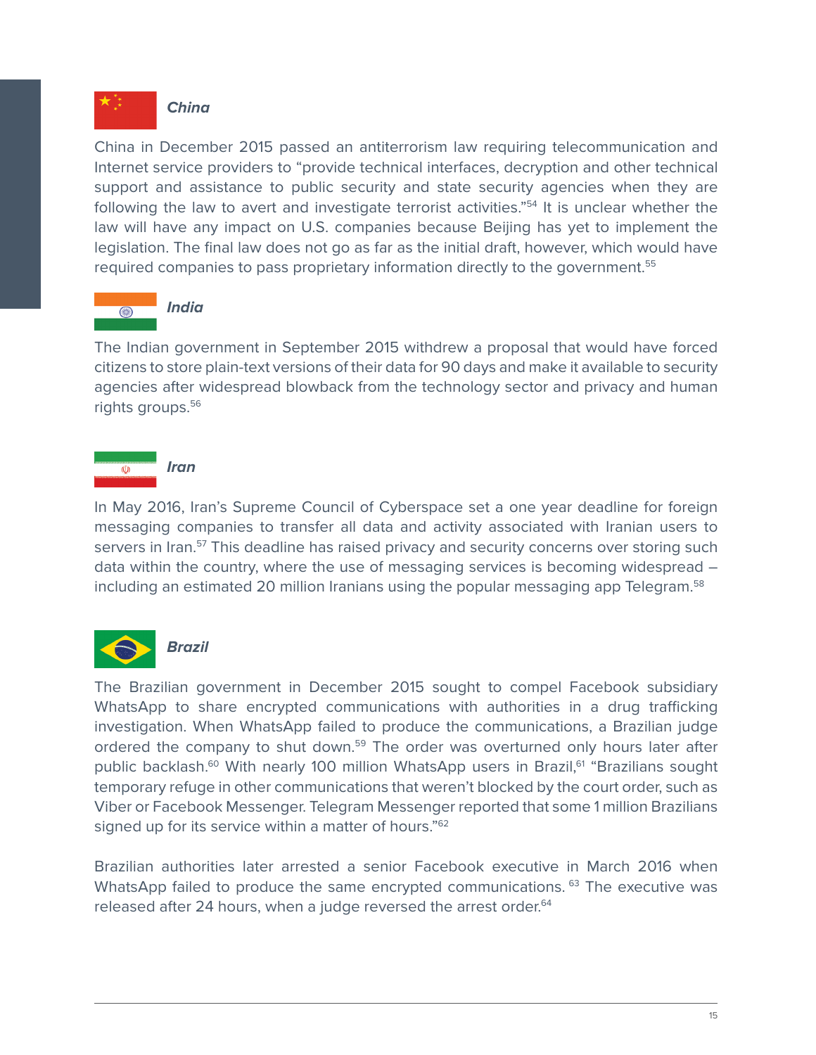

#### *China*

China in December 2015 passed an antiterrorism law requiring telecommunication and Internet service providers to "provide technical interfaces, decryption and other technical support and assistance to public security and state security agencies when they are following the law to avert and investigate terrorist activities."<sup>54</sup> It is unclear whether the law will have any impact on U.S. companies because Beijing has yet to implement the legislation. The final law does not go as far as the initial draft, however, which would have required companies to pass proprietary information directly to the government.<sup>55</sup>



#### *India*

The Indian government in September 2015 withdrew a proposal that would have forced citizens to store plain-text versions of their data for 90 days and make it available to security agencies after widespread blowback from the technology sector and privacy and human rights groups.<sup>56</sup>

# *Iran*

In May 2016, Iran's Supreme Council of Cyberspace set a one year deadline for foreign messaging companies to transfer all data and activity associated with Iranian users to servers in Iran.<sup>57</sup> This deadline has raised privacy and security concerns over storing such data within the country, where the use of messaging services is becoming widespread – including an estimated 20 million Iranians using the popular messaging app Telegram.<sup>58</sup>



The Brazilian government in December 2015 sought to compel Facebook subsidiary WhatsApp to share encrypted communications with authorities in a drug trafficking investigation. When WhatsApp failed to produce the communications, a Brazilian judge ordered the company to shut down.<sup>59</sup> The order was overturned only hours later after public backlash.<sup>60</sup> With nearly 100 million WhatsApp users in Brazil,<sup>61</sup> "Brazilians sought temporary refuge in other communications that weren't blocked by the court order, such as Viber or Facebook Messenger. Telegram Messenger reported that some 1 million Brazilians signed up for its service within a matter of hours."<sup>62</sup>

Brazilian authorities later arrested a senior Facebook executive in March 2016 when WhatsApp failed to produce the same encrypted communications.<sup>63</sup> The executive was released after 24 hours, when a judge reversed the arrest order.<sup>64</sup>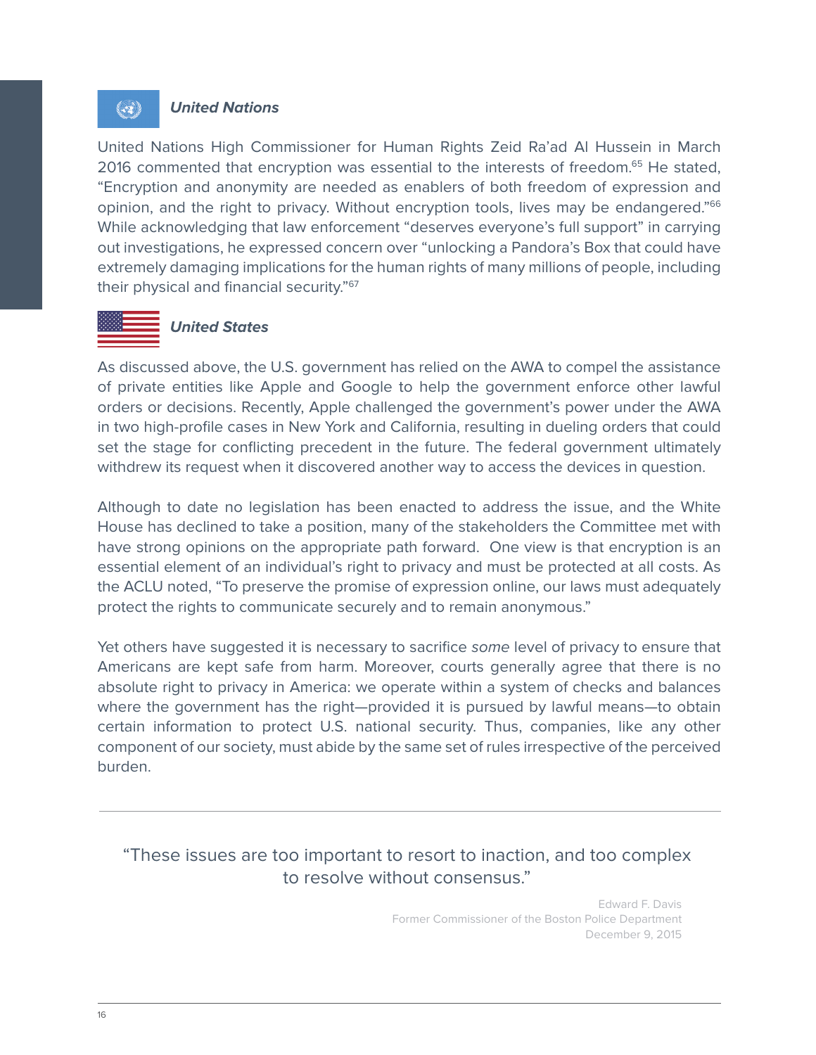#### *United Nations*

 $\langle \bullet \rangle$ 

United Nations High Commissioner for Human Rights Zeid Ra'ad Al Hussein in March 2016 commented that encryption was essential to the interests of freedom.<sup>65</sup> He stated, "Encryption and anonymity are needed as enablers of both freedom of expression and opinion, and the right to privacy. Without encryption tools, lives may be endangered."<sup>66</sup> While acknowledging that law enforcement "deserves everyone's full support" in carrying out investigations, he expressed concern over "unlocking a Pandora's Box that could have extremely damaging implications for the human rights of many millions of people, including their physical and financial security."67

#### *United States*

As discussed above, the U.S. government has relied on the AWA to compel the assistance of private entities like Apple and Google to help the government enforce other lawful orders or decisions. Recently, Apple challenged the government's power under the AWA in two high-profile cases in New York and California, resulting in dueling orders that could set the stage for conflicting precedent in the future. The federal government ultimately withdrew its request when it discovered another way to access the devices in question.

Although to date no legislation has been enacted to address the issue, and the White House has declined to take a position, many of the stakeholders the Committee met with have strong opinions on the appropriate path forward. One view is that encryption is an essential element of an individual's right to privacy and must be protected at all costs. As the ACLU noted, "To preserve the promise of expression online, our laws must adequately protect the rights to communicate securely and to remain anonymous."

Yet others have suggested it is necessary to sacrifice *some* level of privacy to ensure that Americans are kept safe from harm. Moreover, courts generally agree that there is no absolute right to privacy in America: we operate within a system of checks and balances where the government has the right—provided it is pursued by lawful means—to obtain certain information to protect U.S. national security. Thus, companies, like any other component of our society, must abide by the same set of rules irrespective of the perceived burden.

## "These issues are too important to resort to inaction, and too complex to resolve without consensus."

Edward F. Davis Former Commissioner of the Boston Police Department December 9, 2015

16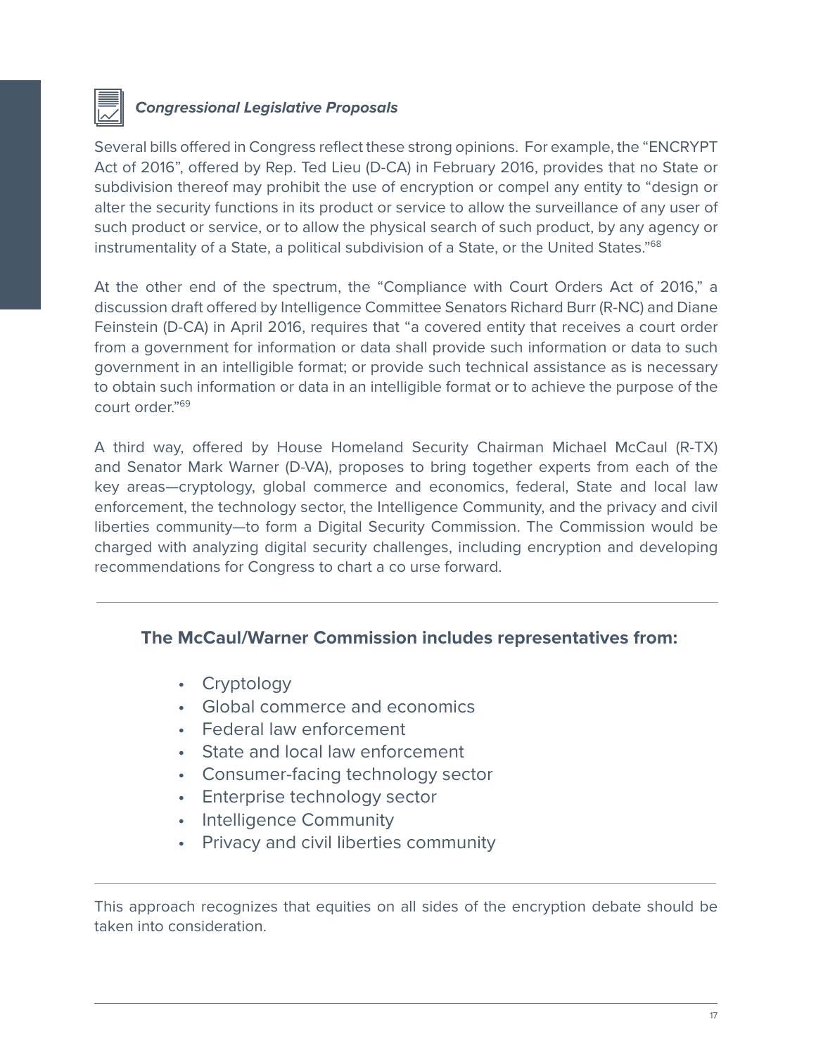

# *Congressional Legislative Proposals*

Several bills offered in Congress reflect these strong opinions. For example, the "ENCRYPT Act of 2016", offered by Rep. Ted Lieu (D-CA) in February 2016, provides that no State or subdivision thereof may prohibit the use of encryption or compel any entity to "design or alter the security functions in its product or service to allow the surveillance of any user of such product or service, or to allow the physical search of such product, by any agency or instrumentality of a State, a political subdivision of a State, or the United States."<sup>68</sup>

At the other end of the spectrum, the "Compliance with Court Orders Act of 2016," a discussion draft offered by Intelligence Committee Senators Richard Burr (R-NC) and Diane Feinstein (D-CA) in April 2016, requires that "a covered entity that receives a court order from a government for information or data shall provide such information or data to such government in an intelligible format; or provide such technical assistance as is necessary to obtain such information or data in an intelligible format or to achieve the purpose of the court order."69

A third way, offered by House Homeland Security Chairman Michael McCaul (R-TX) and Senator Mark Warner (D-VA), proposes to bring together experts from each of the key areas—cryptology, global commerce and economics, federal, State and local law enforcement, the technology sector, the Intelligence Community, and the privacy and civil liberties community—to form a Digital Security Commission. The Commission would be charged with analyzing digital security challenges, including encryption and developing recommendations for Congress to chart a co urse forward.

#### **The McCaul/Warner Commission includes representatives from:**

- Cryptology
- Global commerce and economics
- Federal law enforcement
- State and local law enforcement
- Consumer-facing technology sector
- Enterprise technology sector
- Intelligence Community
- Privacy and civil liberties community

This approach recognizes that equities on all sides of the encryption debate should be taken into consideration.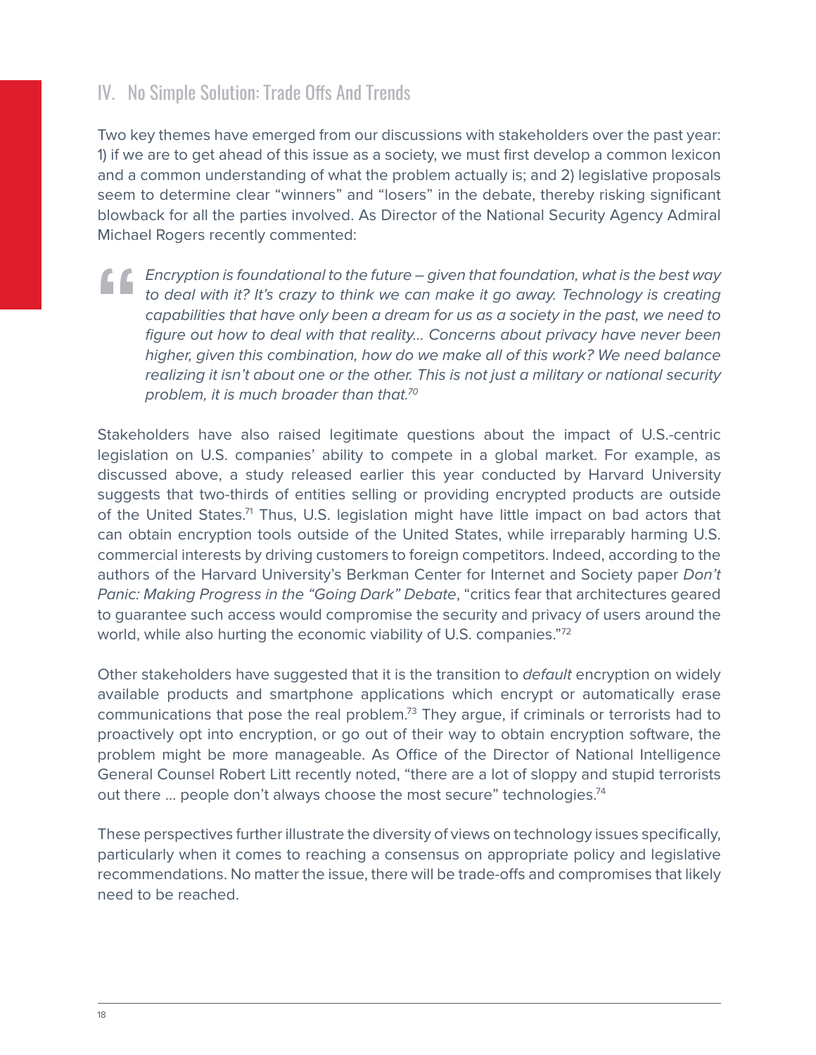# IV. No Simple Solution: Trade Offs And Trends

Two key themes have emerged from our discussions with stakeholders over the past year: 1) if we are to get ahead of this issue as a society, we must first develop a common lexicon and a common understanding of what the problem actually is; and 2) legislative proposals seem to determine clear "winners" and "losers" in the debate, thereby risking significant blowback for all the parties involved. As Director of the National Security Agency Admiral Michael Rogers recently commented:

*Encryption is foundational to the future – given that foundation, what is the best way*  to deal with it? It's crazy to think we can make it go away. Technology is creating *capabilities that have only been a dream for us as a society in the past, we need to figure out how to deal with that reality… Concerns about privacy have never been higher, given this combination, how do we make all of this work? We need balance realizing it isn't about one or the other. This is not just a military or national security problem, it is much broader than that.70* **"**

Stakeholders have also raised legitimate questions about the impact of U.S.-centric legislation on U.S. companies' ability to compete in a global market. For example, as discussed above, a study released earlier this year conducted by Harvard University suggests that two-thirds of entities selling or providing encrypted products are outside of the United States.<sup>71</sup> Thus, U.S. legislation might have little impact on bad actors that can obtain encryption tools outside of the United States, while irreparably harming U.S. commercial interests by driving customers to foreign competitors. Indeed, according to the authors of the Harvard University's Berkman Center for Internet and Society paper *Don't Panic: Making Progress in the "Going Dark" Debate*, "critics fear that architectures geared to guarantee such access would compromise the security and privacy of users around the world, while also hurting the economic viability of U.S. companies."<sup>72</sup>

Other stakeholders have suggested that it is the transition to *default* encryption on widely available products and smartphone applications which encrypt or automatically erase communications that pose the real problem.73 They argue, if criminals or terrorists had to proactively opt into encryption, or go out of their way to obtain encryption software, the problem might be more manageable. As Office of the Director of National Intelligence General Counsel Robert Litt recently noted, "there are a lot of sloppy and stupid terrorists out there ... people don't always choose the most secure" technologies.<sup>74</sup>

These perspectives further illustrate the diversity of views on technology issues specifically, particularly when it comes to reaching a consensus on appropriate policy and legislative recommendations. No matter the issue, there will be trade-offs and compromises that likely need to be reached.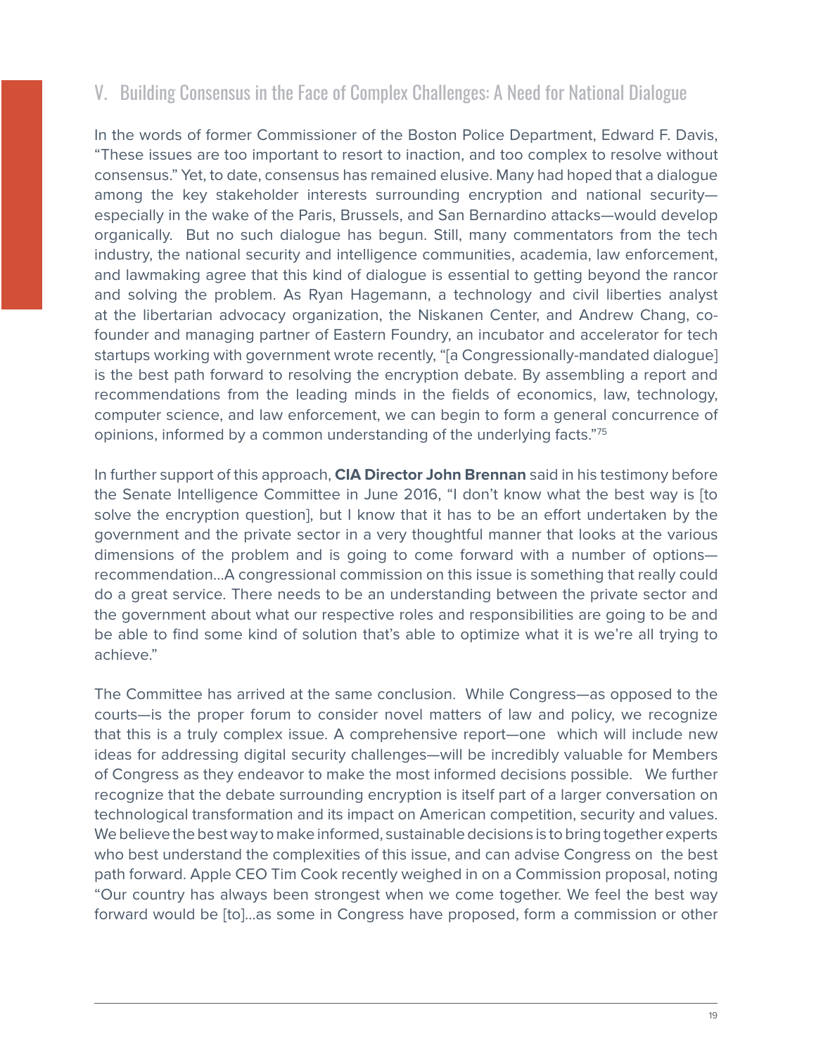# V. Building Consensus in the Face of Complex Challenges: A Need for National Dialogue

In the words of former Commissioner of the Boston Police Department, Edward F. Davis, "These issues are too important to resort to inaction, and too complex to resolve without consensus." Yet, to date, consensus has remained elusive. Many had hoped that a dialogue among the key stakeholder interests surrounding encryption and national security especially in the wake of the Paris, Brussels, and San Bernardino attacks—would develop organically. But no such dialogue has begun. Still, many commentators from the tech industry, the national security and intelligence communities, academia, law enforcement, and lawmaking agree that this kind of dialogue is essential to getting beyond the rancor and solving the problem. As Ryan Hagemann, a technology and civil liberties analyst at the libertarian advocacy organization, the Niskanen Center, and Andrew Chang, cofounder and managing partner of Eastern Foundry, an incubator and accelerator for tech startups working with government wrote recently, "[a Congressionally-mandated dialogue] is the best path forward to resolving the encryption debate. By assembling a report and recommendations from the leading minds in the fields of economics, law, technology, computer science, and law enforcement, we can begin to form a general concurrence of opinions, informed by a common understanding of the underlying facts."75

In further support of this approach, **CIA Director John Brennan** said in his testimony before the Senate Intelligence Committee in June 2016, "I don't know what the best way is [to solve the encryption question], but I know that it has to be an effort undertaken by the government and the private sector in a very thoughtful manner that looks at the various dimensions of the problem and is going to come forward with a number of options recommendation...A congressional commission on this issue is something that really could do a great service. There needs to be an understanding between the private sector and the government about what our respective roles and responsibilities are going to be and be able to find some kind of solution that's able to optimize what it is we're all trying to achieve."

The Committee has arrived at the same conclusion. While Congress—as opposed to the courts—is the proper forum to consider novel matters of law and policy, we recognize that this is a truly complex issue. A comprehensive report—one which will include new ideas for addressing digital security challenges—will be incredibly valuable for Members of Congress as they endeavor to make the most informed decisions possible. We further recognize that the debate surrounding encryption is itself part of a larger conversation on technological transformation and its impact on American competition, security and values. We believe the best way to make informed, sustainable decisions is to bring together experts who best understand the complexities of this issue, and can advise Congress on the best path forward. Apple CEO Tim Cook recently weighed in on a Commission proposal, noting "Our country has always been strongest when we come together. We feel the best way forward would be [to]…as some in Congress have proposed, form a commission or other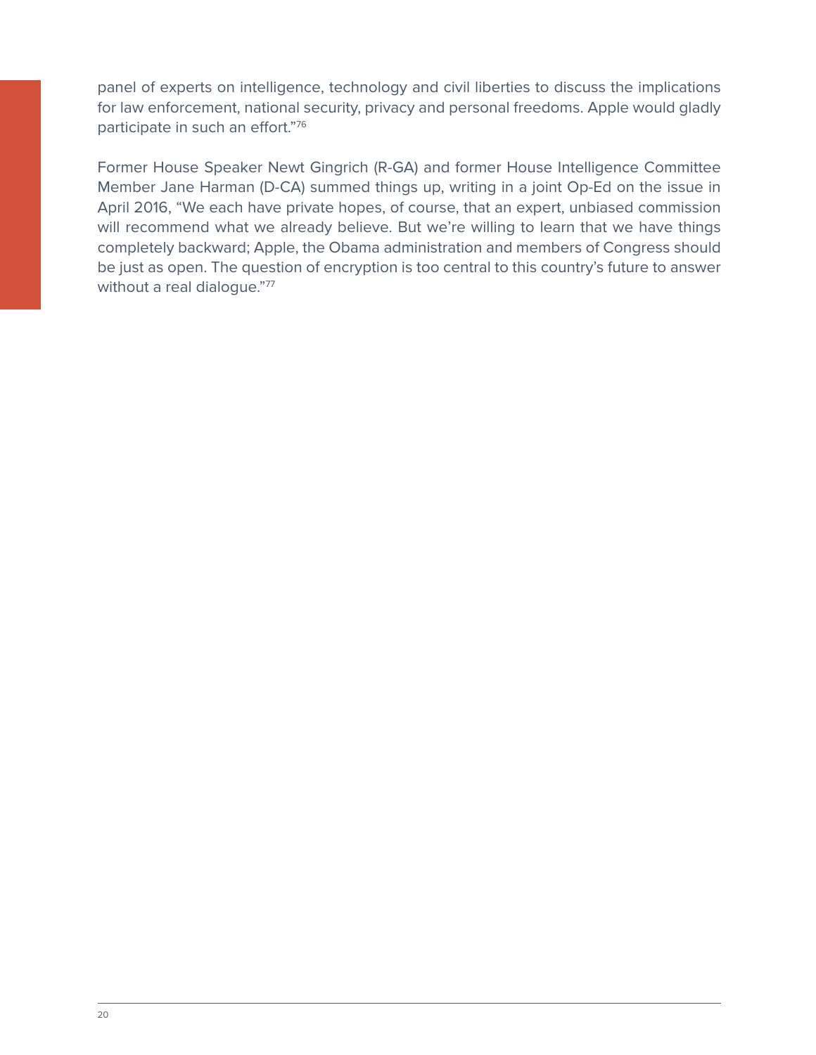panel of experts on intelligence, technology and civil liberties to discuss the implications for law enforcement, national security, privacy and personal freedoms. Apple would gladly participate in such an effort."76

Former House Speaker Newt Gingrich (R-GA) and former House Intelligence Committee Member Jane Harman (D-CA) summed things up, writing in a joint Op-Ed on the issue in April 2016, "We each have private hopes, of course, that an expert, unbiased commission will recommend what we already believe. But we're willing to learn that we have things completely backward; Apple, the Obama administration and members of Congress should be just as open. The question of encryption is too central to this country's future to answer without a real dialogue."77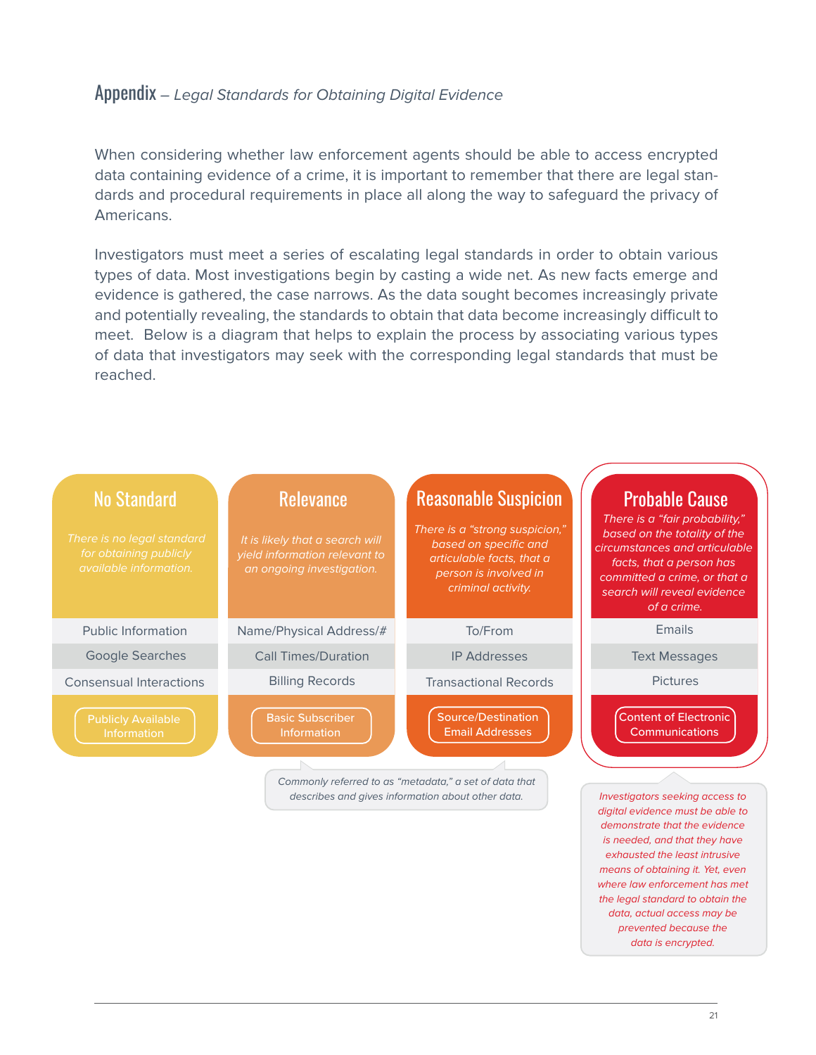# Appendix *– Legal Standards for Obtaining Digital Evidence*

When considering whether law enforcement agents should be able to access encrypted data containing evidence of a crime, it is important to remember that there are legal standards and procedural requirements in place all along the way to safeguard the privacy of Americans.

Investigators must meet a series of escalating legal standards in order to obtain various types of data. Most investigations begin by casting a wide net. As new facts emerge and evidence is gathered, the case narrows. As the data sought becomes increasingly private and potentially revealing, the standards to obtain that data become increasingly difficult to meet. Below is a diagram that helps to explain the process by associating various types of data that investigators may seek with the corresponding legal standards that must be reached.



*demonstrate that the evidence is needed, and that they have exhausted the least intrusive means of obtaining it. Yet, even where law enforcement has met the legal standard to obtain the data, actual access may be prevented because the data is encrypted.*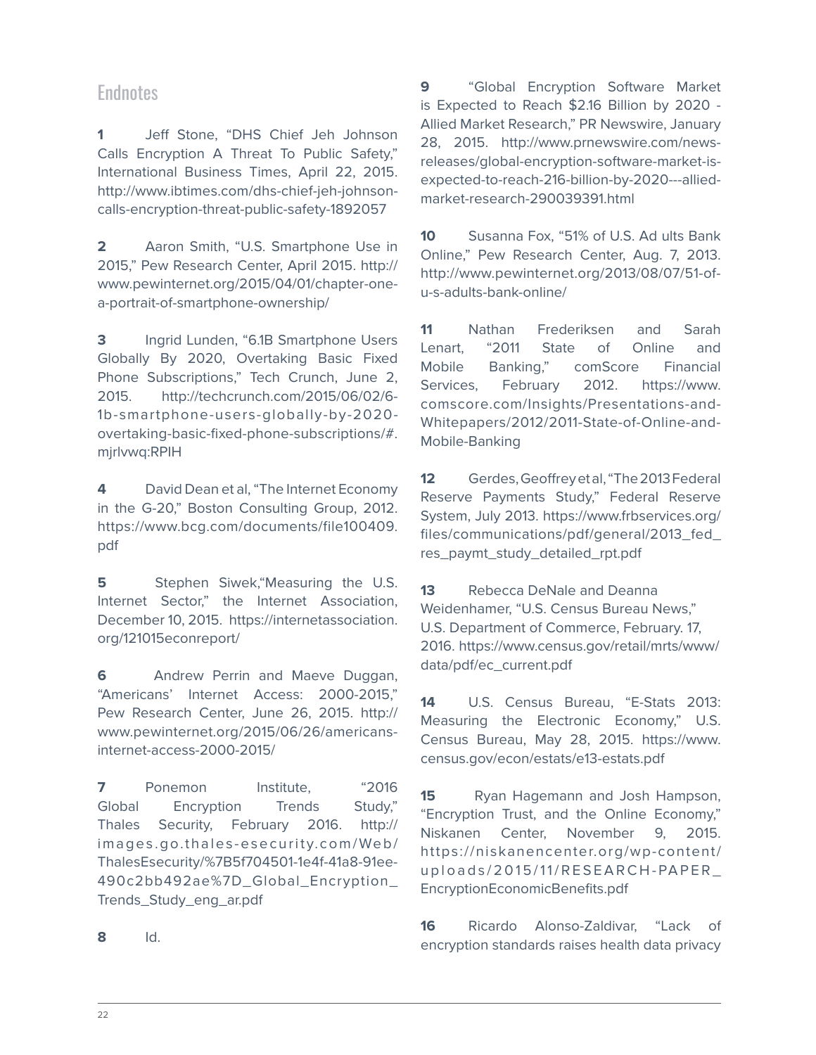# **Endnotes**

**1** Jeff Stone, "DHS Chief Jeh Johnson Calls Encryption A Threat To Public Safety," International Business Times, April 22, 2015. http://www.ibtimes.com/dhs-chief-jeh-johnsoncalls-encryption-threat-public-safety-1892057

**2** Aaron Smith, "U.S. Smartphone Use in 2015," Pew Research Center, April 2015. http:// www.pewinternet.org/2015/04/01/chapter-onea-portrait-of-smartphone-ownership/

**3** Ingrid Lunden, "6.1B Smartphone Users Globally By 2020, Overtaking Basic Fixed Phone Subscriptions," Tech Crunch, June 2, 2015. http://techcrunch.com/2015/06/02/6- 1b-smartphone-users-globally-by-2020 overtaking-basic-fixed-phone-subscriptions/#. mjrlvwq:RPIH

**4** David Dean et al, "The Internet Economy in the G-20," Boston Consulting Group, 2012. https://www.bcg.com/documents/file100409. pdf

**5** Stephen Siwek, "Measuring the U.S. Internet Sector," the Internet Association, December 10, 2015. https://internetassociation. org/121015econreport/

**6** Andrew Perrin and Maeve Duggan, "Americans' Internet Access: 2000-2015," Pew Research Center, June 26, 2015. http:// www.pewinternet.org/2015/06/26/americansinternet-access-2000-2015/

**7** Ponemon Institute. "2016 Global Encryption Trends Study," Thales Security, February 2016. http:// images.go.thales-esecurity.com/Web/ ThalesEsecurity/%7B5f704501-1e4f-41a8-91ee-490c2bb492ae%7D\_Global\_Encryption\_ Trends\_Study\_eng\_ar.pdf

**9** "Global Encryption Software Market is Expected to Reach \$2.16 Billion by 2020 - Allied Market Research," PR Newswire, January 28, 2015. http://www.prnewswire.com/newsreleases/global-encryption-software-market-isexpected-to-reach-216-billion-by-2020---alliedmarket-research-290039391.html

**10** Susanna Fox, "51% of U.S. Ad ults Bank Online," Pew Research Center, Aug. 7, 2013. http://www.pewinternet.org/2013/08/07/51-ofu-s-adults-bank-online/

**11** Nathan Frederiksen and Sarah Lenart, "2011 State of Online and Mobile Banking," comScore Financial Services, February 2012. https://www. comscore.com/Insights/Presentations-and-Whitepapers/2012/2011-State-of-Online-and-Mobile-Banking

**12** Gerdes, Geoffrey et al, "The 2013 Federal Reserve Payments Study," Federal Reserve System, July 2013. https://www.frbservices.org/ files/communications/pdf/general/2013\_fed\_ res\_paymt\_study\_detailed\_rpt.pdf

**13** Rebecca DeNale and Deanna Weidenhamer, "U.S. Census Bureau News," U.S. Department of Commerce, February. 17, 2016. https://www.census.gov/retail/mrts/www/ data/pdf/ec\_current.pdf

**14** U.S. Census Bureau, "E-Stats 2013: Measuring the Electronic Economy," U.S. Census Bureau, May 28, 2015. https://www. census.gov/econ/estats/e13-estats.pdf

**15** Ryan Hagemann and Josh Hampson, "Encryption Trust, and the Online Economy," Niskanen Center, November 9, 2015. https://niskanencenter.org/wp-content/ uploads/2015/11/RESEARCH-PAPER\_ EncryptionEconomicBenefits.pdf

**16** Ricardo Alonso-Zaldivar, "Lack of encryption standards raises health data privacy

**8** Id.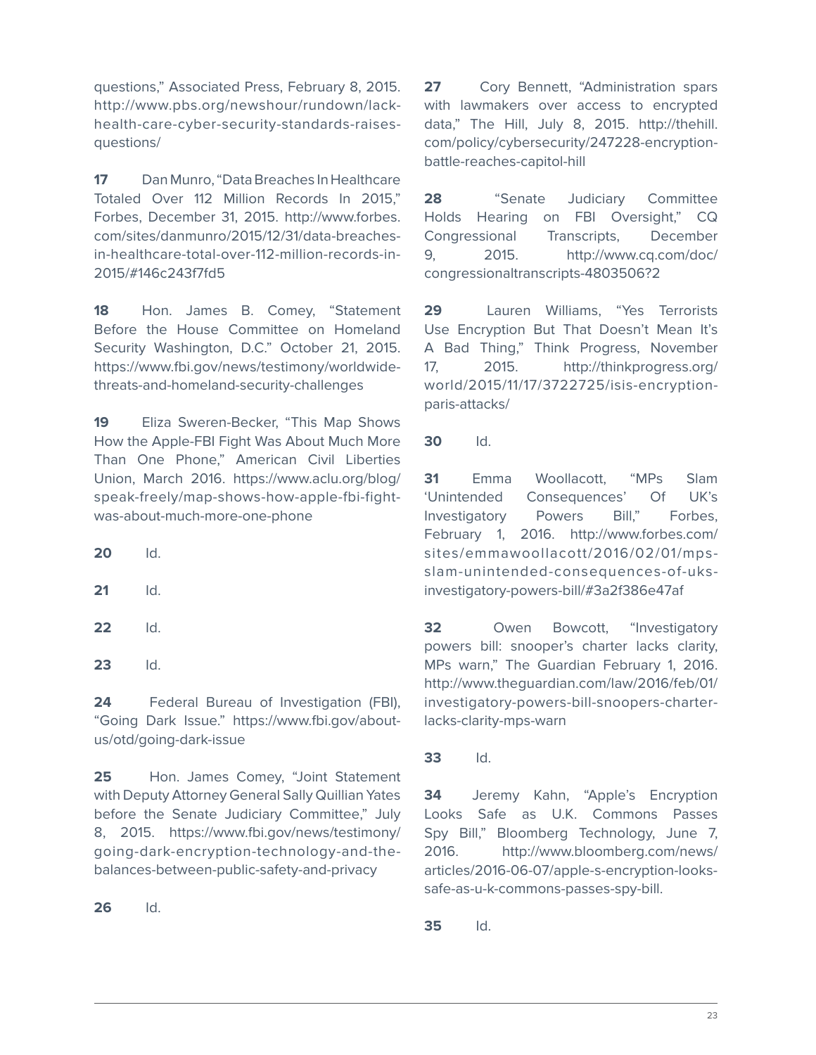questions," Associated Press, February 8, 2015. http://www.pbs.org/newshour/rundown/lackhealth-care-cyber-security-standards-raisesquestions/

**17** Dan Munro, "Data Breaches In Healthcare Totaled Over 112 Million Records In 2015," Forbes, December 31, 2015. http://www.forbes. com/sites/danmunro/2015/12/31/data-breachesin-healthcare-total-over-112-million-records-in-2015/#146c243f7fd5

**18** Hon. James B. Comey, "Statement Before the House Committee on Homeland Security Washington, D.C." October 21, 2015. https://www.fbi.gov/news/testimony/worldwidethreats-and-homeland-security-challenges

**19** Eliza Sweren-Becker, "This Map Shows How the Apple-FBI Fight Was About Much More Than One Phone," American Civil Liberties Union, March 2016. https://www.aclu.org/blog/ speak-freely/map-shows-how-apple-fbi-fightwas-about-much-more-one-phone

**20** Id.

- **21** Id.
- **22** Id.
- **23** Id.

24 Federal Bureau of Investigation (FBI), "Going Dark Issue." https://www.fbi.gov/aboutus/otd/going-dark-issue

**25** Hon. James Comey, "Joint Statement with Deputy Attorney General Sally Quillian Yates before the Senate Judiciary Committee," July 8, 2015. https://www.fbi.gov/news/testimony/ going-dark-encryption-technology-and-thebalances-between-public-safety-and-privacy

**26** Id.

**27** Cory Bennett, "Administration spars with lawmakers over access to encrypted data," The Hill, July 8, 2015. http://thehill. com/policy/cybersecurity/247228-encryptionbattle-reaches-capitol-hill

**28** "Senate Judiciary Committee Holds Hearing on FBI Oversight," CQ Congressional Transcripts, December 9, 2015. http://www.cq.com/doc/ congressionaltranscripts-4803506?2

**29** Lauren Williams, "Yes Terrorists Use Encryption But That Doesn't Mean It's A Bad Thing," Think Progress, November 17, 2015. http://thinkprogress.org/ world/2015/11/17/3722725/isis-encryptionparis-attacks/

**30** Id.

**31** Emma Woollacott, "MPs Slam 'Unintended Consequences' Of UK's Investigatory Powers Bill," Forbes, February 1, 2016. http://www.forbes.com/ sites/emmawoollacott/2016/02/01/mpsslam-unintended-consequences-of-uksinvestigatory-powers-bill/#3a2f386e47af

**32** Owen Bowcott, "Investigatory powers bill: snooper's charter lacks clarity, MPs warn," The Guardian February 1, 2016. http://www.theguardian.com/law/2016/feb/01/ investigatory-powers-bill-snoopers-charterlacks-clarity-mps-warn

**33** Id.

**34** Jeremy Kahn, "Apple's Encryption Looks Safe as U.K. Commons Passes Spy Bill," Bloomberg Technology, June 7, 2016. http://www.bloomberg.com/news/ articles/2016-06-07/apple-s-encryption-lookssafe-as-u-k-commons-passes-spy-bill.

**35** Id.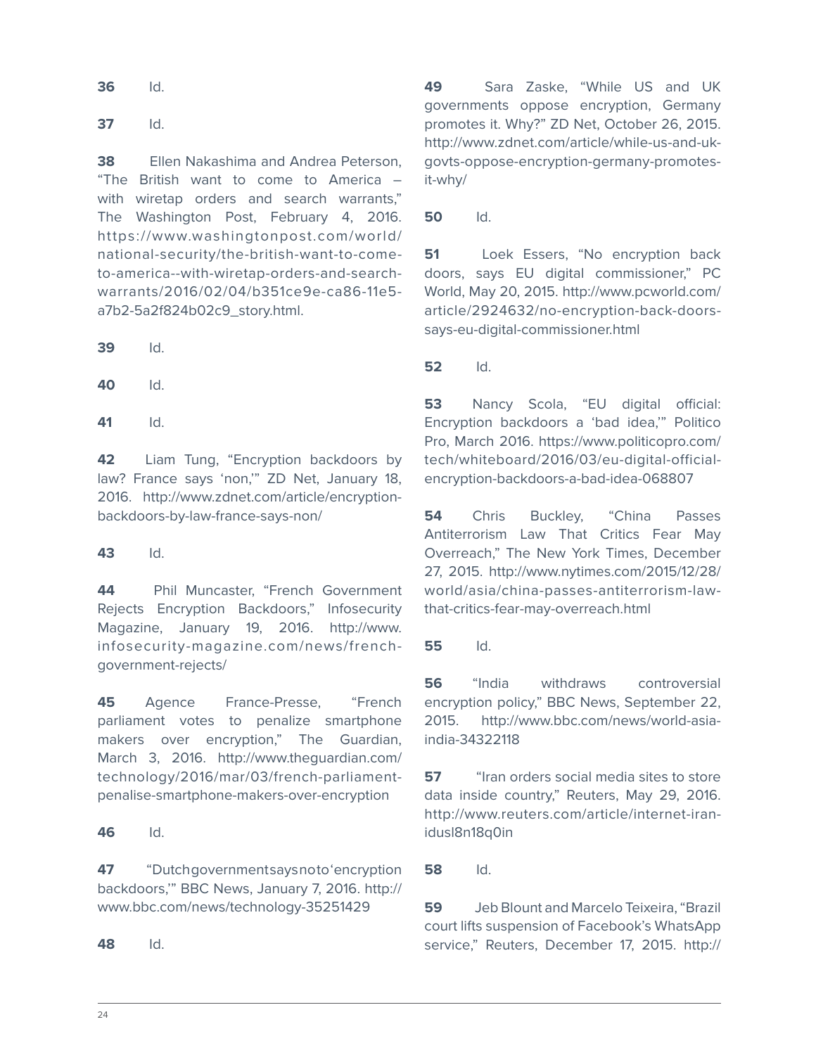**36** Id.

**37** Id.

**38** Ellen Nakashima and Andrea Peterson, "The British want to come to America – with wiretap orders and search warrants," The Washington Post, February 4, 2016. https://www.washingtonpost.com/world/ national-security/the-british-want-to-cometo-america--with-wiretap-orders-and-searchwarrants/2016/02/04/b351ce9e-ca86-11e5 a7b2-5a2f824b02c9\_story.html.

**39** Id.

**40** Id.

**41** Id.

**42** Liam Tung, "Encryption backdoors by law? France says 'non,'" ZD Net, January 18, 2016. http://www.zdnet.com/article/encryptionbackdoors-by-law-france-says-non/

**43** Id.

**44** Phil Muncaster, "French Government Rejects Encryption Backdoors," Infosecurity Magazine, January 19, 2016. http://www. infosecurity-magazine.com/news/frenchgovernment-rejects/

**45** Agence France-Presse, "French parliament votes to penalize smartphone makers over encryption," The Guardian, March 3, 2016. http://www.theguardian.com/ technology/2016/mar/03/french-parliamentpenalise-smartphone-makers-over-encryption

**46** Id.

**47** "Dutch government says noto 'encryption backdoors,'" BBC News, January 7, 2016. http:// www.bbc.com/news/technology-35251429

**48** Id.

**49** Sara Zaske, "While US and UK governments oppose encryption, Germany promotes it. Why?" ZD Net, October 26, 2015. http://www.zdnet.com/article/while-us-and-ukgovts-oppose-encryption-germany-promotesit-why/

**50** Id.

**51** Loek Essers, "No encryption back doors, says EU digital commissioner," PC World, May 20, 2015. http://www.pcworld.com/ article/2924632/no-encryption-back-doorssays-eu-digital-commissioner.html

**52** Id.

**53** Nancy Scola, "EU digital official: Encryption backdoors a 'bad idea,'" Politico Pro, March 2016. https://www.politicopro.com/ tech/whiteboard/2016/03/eu-digital-officialencryption-backdoors-a-bad-idea-068807

**54** Chris Buckley, "China Passes Antiterrorism Law That Critics Fear May Overreach," The New York Times, December 27, 2015. http://www.nytimes.com/2015/12/28/ world/asia/china-passes-antiterrorism-lawthat-critics-fear-may-overreach.html

**55** Id.

**56** "India withdraws controversial encryption policy," BBC News, September 22, 2015. http://www.bbc.com/news/world-asiaindia-34322118

**57** "Iran orders social media sites to store data inside country," Reuters, May 29, 2016. http://www.reuters.com/article/internet-iranidusl8n18q0in

**58** Id.

**59** Jeb Blount and Marcelo Teixeira, "Brazil court lifts suspension of Facebook's WhatsApp service," Reuters, December 17, 2015. http://